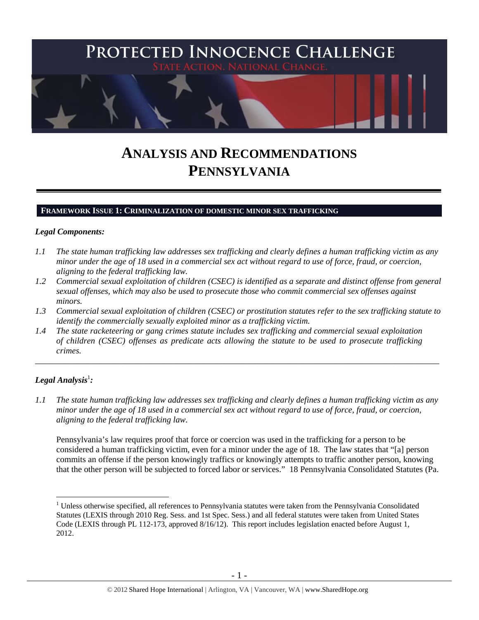

# **ANALYSIS AND RECOMMENDATIONS PENNSYLVANIA**

#### **FRAMEWORK ISSUE 1: CRIMINALIZATION OF DOMESTIC MINOR SEX TRAFFICKING**

#### *Legal Components:*

- *1.1 The state human trafficking law addresses sex trafficking and clearly defines a human trafficking victim as any minor under the age of 18 used in a commercial sex act without regard to use of force, fraud, or coercion, aligning to the federal trafficking law.*
- *1.2 Commercial sexual exploitation of children (CSEC) is identified as a separate and distinct offense from general sexual offenses, which may also be used to prosecute those who commit commercial sex offenses against minors.*
- *1.3 Commercial sexual exploitation of children (CSEC) or prostitution statutes refer to the sex trafficking statute to identify the commercially sexually exploited minor as a trafficking victim.*

\_\_\_\_\_\_\_\_\_\_\_\_\_\_\_\_\_\_\_\_\_\_\_\_\_\_\_\_\_\_\_\_\_\_\_\_\_\_\_\_\_\_\_\_\_\_\_\_\_\_\_\_\_\_\_\_\_\_\_\_\_\_\_\_\_\_\_\_\_\_\_\_\_\_\_\_\_\_\_\_\_\_\_\_\_\_\_\_\_\_\_\_\_\_

*1.4 The state racketeering or gang crimes statute includes sex trafficking and commercial sexual exploitation of children (CSEC) offenses as predicate acts allowing the statute to be used to prosecute trafficking crimes.* 

## $\bm{L}$ egal Analysis $^{\rm l}$ :

 $\overline{a}$ 

*1.1 The state human trafficking law addresses sex trafficking and clearly defines a human trafficking victim as any minor under the age of 18 used in a commercial sex act without regard to use of force, fraud, or coercion, aligning to the federal trafficking law.*

Pennsylvania's law requires proof that force or coercion was used in the trafficking for a person to be considered a human trafficking victim, even for a minor under the age of 18. The law states that "[a] person commits an offense if the person knowingly traffics or knowingly attempts to traffic another person, knowing that the other person will be subjected to forced labor or services." 18 Pennsylvania Consolidated Statutes (Pa.

<sup>&</sup>lt;sup>1</sup> Unless otherwise specified, all references to Pennsylvania statutes were taken from the Pennsylvania Consolidated Statutes (LEXIS through 2010 Reg. Sess. and 1st Spec. Sess.) and all federal statutes were taken from United States Code (LEXIS through PL 112-173, approved 8/16/12). This report includes legislation enacted before August 1, 2012.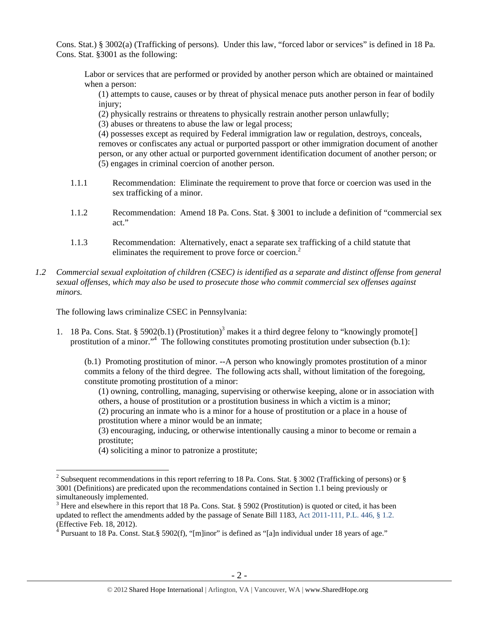Cons. Stat.) § 3002(a) (Trafficking of persons). Under this law, "forced labor or services" is defined in 18 Pa. Cons. Stat. §3001 as the following:

Labor or services that are performed or provided by another person which are obtained or maintained when a person:

(1) attempts to cause, causes or by threat of physical menace puts another person in fear of bodily injury;

(2) physically restrains or threatens to physically restrain another person unlawfully;

(3) abuses or threatens to abuse the law or legal process;

(4) possesses except as required by Federal immigration law or regulation, destroys, conceals, removes or confiscates any actual or purported passport or other immigration document of another person, or any other actual or purported government identification document of another person; or (5) engages in criminal coercion of another person.

- 1.1.1 Recommendation: Eliminate the requirement to prove that force or coercion was used in the sex trafficking of a minor.
- 1.1.2 Recommendation: Amend 18 Pa. Cons. Stat. § 3001 to include a definition of "commercial sex act."
- 1.1.3 Recommendation: Alternatively, enact a separate sex trafficking of a child statute that eliminates the requirement to prove force or coercion.<sup>2</sup>
- *1.2 Commercial sexual exploitation of children (CSEC) is identified as a separate and distinct offense from general sexual offenses, which may also be used to prosecute those who commit commercial sex offenses against minors.*

The following laws criminalize CSEC in Pennsylvania:

1. 18 Pa. Cons. Stat. § 5902(b.1) (Prostitution)<sup>3</sup> makes it a third degree felony to "knowingly promote[] prostitution of a minor."<sup>4</sup> The following constitutes promoting prostitution under subsection (b.1):

(b.1) Promoting prostitution of minor. --A person who knowingly promotes prostitution of a minor commits a felony of the third degree. The following acts shall, without limitation of the foregoing, constitute promoting prostitution of a minor:

(1) owning, controlling, managing, supervising or otherwise keeping, alone or in association with others, a house of prostitution or a prostitution business in which a victim is a minor;

(2) procuring an inmate who is a minor for a house of prostitution or a place in a house of prostitution where a minor would be an inmate;

(3) encouraging, inducing, or otherwise intentionally causing a minor to become or remain a prostitute;

(4) soliciting a minor to patronize a prostitute;

<sup>&</sup>lt;sup>2</sup> Subsequent recommendations in this report referring to 18 Pa. Cons. Stat. § 3002 (Trafficking of persons) or § 3001 (Definitions) are predicated upon the recommendations contained in Section 1.1 being previously or simultaneously implemented.

 $3$  Here and elsewhere in this report that 18 Pa. Cons. Stat. § 5902 (Prostitution) is quoted or cited, it has been updated to reflect the amendments added by the passage of Senate Bill 1183, Act 2011-111, P.L. 446, § 1.2. (Effective Feb. 18, 2012).

<sup>&</sup>lt;sup>4</sup> Pursuant to 18 Pa. Const. Stat.§ 5902(f), "[m]inor" is defined as "[a]n individual under 18 years of age."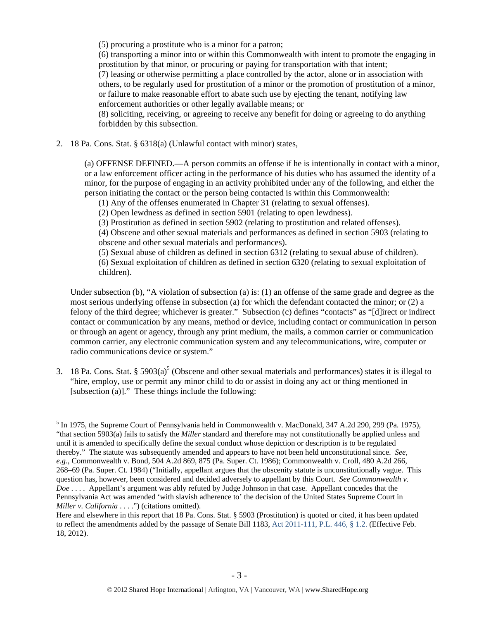(5) procuring a prostitute who is a minor for a patron;

(6) transporting a minor into or within this Commonwealth with intent to promote the engaging in prostitution by that minor, or procuring or paying for transportation with that intent;

(7) leasing or otherwise permitting a place controlled by the actor, alone or in association with others, to be regularly used for prostitution of a minor or the promotion of prostitution of a minor, or failure to make reasonable effort to abate such use by ejecting the tenant, notifying law enforcement authorities or other legally available means; or

(8) soliciting, receiving, or agreeing to receive any benefit for doing or agreeing to do anything forbidden by this subsection.

2. 18 Pa. Cons. Stat. § 6318(a) (Unlawful contact with minor) states,

 $\overline{a}$ 

(a) OFFENSE DEFINED.—A person commits an offense if he is intentionally in contact with a minor, or a law enforcement officer acting in the performance of his duties who has assumed the identity of a minor, for the purpose of engaging in an activity prohibited under any of the following, and either the person initiating the contact or the person being contacted is within this Commonwealth:

(1) Any of the offenses enumerated in Chapter 31 (relating to sexual offenses).

(2) Open lewdness as defined in section 5901 (relating to open lewdness).

(3) Prostitution as defined in section 5902 (relating to prostitution and related offenses).

(4) Obscene and other sexual materials and performances as defined in section 5903 (relating to obscene and other sexual materials and performances).

(5) Sexual abuse of children as defined in section 6312 (relating to sexual abuse of children).

(6) Sexual exploitation of children as defined in section 6320 (relating to sexual exploitation of children).

Under subsection (b), "A violation of subsection (a) is: (1) an offense of the same grade and degree as the most serious underlying offense in subsection (a) for which the defendant contacted the minor; or (2) a felony of the third degree; whichever is greater." Subsection (c) defines "contacts" as "[d]irect or indirect contact or communication by any means, method or device, including contact or communication in person or through an agent or agency, through any print medium, the mails, a common carrier or communication common carrier, any electronic communication system and any telecommunications, wire, computer or radio communications device or system."

3. 18 Pa. Cons. Stat. §  $5903(a)^5$  (Obscene and other sexual materials and performances) states it is illegal to "hire, employ, use or permit any minor child to do or assist in doing any act or thing mentioned in [subsection (a)]." These things include the following:

<sup>&</sup>lt;sup>5</sup> In 1975, the Supreme Court of Pennsylvania held in Commonwealth v. MacDonald, 347 A.2d 290, 299 (Pa. 1975), "that section 5903(a) fails to satisfy the *Miller* standard and therefore may not constitutionally be applied unless and until it is amended to specifically define the sexual conduct whose depiction or description is to be regulated thereby." The statute was subsequently amended and appears to have not been held unconstitutional since. *See, e.g.*, Commonwealth v. Bond, 504 A.2d 869, 875 (Pa. Super. Ct. 1986); Commonwealth v. Croll, 480 A.2d 266, 268–69 (Pa. Super. Ct. 1984) ("Initially, appellant argues that the obscenity statute is unconstitutionally vague. This question has, however, been considered and decided adversely to appellant by this Court. *See Commonwealth v. Doe* . . . . Appellant's argument was ably refuted by Judge Johnson in that case. Appellant concedes that the Pennsylvania Act was amended 'with slavish adherence to' the decision of the United States Supreme Court in *Miller v. California* . . . .") (citations omitted).

Here and elsewhere in this report that 18 Pa. Cons. Stat. § 5903 (Prostitution) is quoted or cited, it has been updated to reflect the amendments added by the passage of Senate Bill 1183, Act 2011-111, P.L. 446, § 1.2. (Effective Feb. 18, 2012).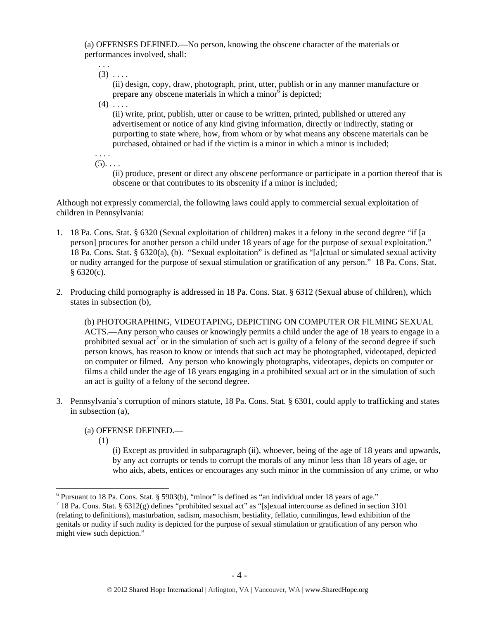(a) OFFENSES DEFINED.—No person, knowing the obscene character of the materials or performances involved, shall:

 $(3)$  . . . .

. . .

(ii) design, copy, draw, photograph, print, utter, publish or in any manner manufacture or prepare any obscene materials in which a minor $\delta$  is depicted;

 $(4)$  ....

(ii) write, print, publish, utter or cause to be written, printed, published or uttered any advertisement or notice of any kind giving information, directly or indirectly, stating or purporting to state where, how, from whom or by what means any obscene materials can be purchased, obtained or had if the victim is a minor in which a minor is included;

. . . .  $(5)$ . . . .

> (ii) produce, present or direct any obscene performance or participate in a portion thereof that is obscene or that contributes to its obscenity if a minor is included;

Although not expressly commercial, the following laws could apply to commercial sexual exploitation of children in Pennsylvania:

- 1. 18 Pa. Cons. Stat. § 6320 (Sexual exploitation of children) makes it a felony in the second degree "if [a person] procures for another person a child under 18 years of age for the purpose of sexual exploitation." 18 Pa. Cons. Stat. § 6320(a), (b). "Sexual exploitation" is defined as "[a]ctual or simulated sexual activity or nudity arranged for the purpose of sexual stimulation or gratification of any person." 18 Pa. Cons. Stat. § 6320(c).
- 2. Producing child pornography is addressed in 18 Pa. Cons. Stat. § 6312 (Sexual abuse of children), which states in subsection (b),

(b) PHOTOGRAPHING, VIDEOTAPING, DEPICTING ON COMPUTER OR FILMING SEXUAL ACTS.—Any person who causes or knowingly permits a child under the age of 18 years to engage in a prohibited sexual  $\arctan^7$  or in the simulation of such act is guilty of a felony of the second degree if such person knows, has reason to know or intends that such act may be photographed, videotaped, depicted on computer or filmed. Any person who knowingly photographs, videotapes, depicts on computer or films a child under the age of 18 years engaging in a prohibited sexual act or in the simulation of such an act is guilty of a felony of the second degree.

3. Pennsylvania's corruption of minors statute, 18 Pa. Cons. Stat. § 6301, could apply to trafficking and states in subsection (a),

(a) OFFENSE DEFINED.—

(1)

(i) Except as provided in subparagraph (ii), whoever, being of the age of 18 years and upwards, by any act corrupts or tends to corrupt the morals of any minor less than 18 years of age, or who aids, abets, entices or encourages any such minor in the commission of any crime, or who

 6 Pursuant to 18 Pa. Cons. Stat. § 5903(b), "minor" is defined as "an individual under 18 years of age."

<sup>&</sup>lt;sup>7</sup> 18 Pa. Cons. Stat. § 6312(g) defines "prohibited sexual act" as "[s]exual intercourse as defined in section 3101 (relating to definitions), masturbation, sadism, masochism, bestiality, fellatio, cunnilingus, lewd exhibition of the genitals or nudity if such nudity is depicted for the purpose of sexual stimulation or gratification of any person who might view such depiction."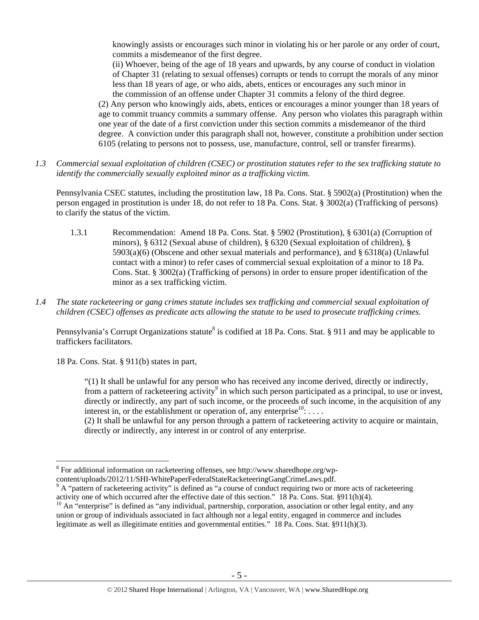knowingly assists or encourages such minor in violating his or her parole or any order of court, commits a misdemeanor of the first degree.

(ii) Whoever, being of the age of 18 years and upwards, by any course of conduct in violation of Chapter 31 (relating to sexual offenses) corrupts or tends to corrupt the morals of any minor less than 18 years of age, or who aids, abets, entices or encourages any such minor in the commission of an offense under Chapter 31 commits a felony of the third degree.

(2) Any person who knowingly aids, abets, entices or encourages a minor younger than 18 years of age to commit truancy commits a summary offense. Any person who violates this paragraph within one year of the date of a first conviction under this section commits a misdemeanor of the third degree. A conviction under this paragraph shall not, however, constitute a prohibition under section 6105 (relating to persons not to possess, use, manufacture, control, sell or transfer firearms).

*1.3 Commercial sexual exploitation of children (CSEC) or prostitution statutes refer to the sex trafficking statute to identify the commercially sexually exploited minor as a trafficking victim.* 

Pennsylvania CSEC statutes, including the prostitution law, 18 Pa. Cons. Stat. § 5902(a) (Prostitution) when the person engaged in prostitution is under 18, do not refer to 18 Pa. Cons. Stat. § 3002(a) (Trafficking of persons) to clarify the status of the victim.

- 1.3.1 Recommendation: Amend 18 Pa. Cons. Stat. § 5902 (Prostitution), § 6301(a) (Corruption of minors), § 6312 (Sexual abuse of children), § 6320 (Sexual exploitation of children), §  $5903(a)(6)$  (Obscene and other sexual materials and performance), and § 6318(a) (Unlawful contact with a minor) to refer cases of commercial sexual exploitation of a minor to 18 Pa. Cons. Stat. § 3002(a) (Trafficking of persons) in order to ensure proper identification of the minor as a sex trafficking victim.
- *1.4 The state racketeering or gang crimes statute includes sex trafficking and commercial sexual exploitation of children (CSEC) offenses as predicate acts allowing the statute to be used to prosecute trafficking crimes.*

Pennsylvania's Corrupt Organizations statute<sup>8</sup> is codified at 18 Pa. Cons. Stat. § 911 and may be applicable to traffickers facilitators.

18 Pa. Cons. Stat. § 911(b) states in part,

 $\overline{a}$ 

"(1) It shall be unlawful for any person who has received any income derived, directly or indirectly, from a pattern of racketeering activity<sup>9</sup> in which such person participated as a principal, to use or invest, directly or indirectly, any part of such income, or the proceeds of such income, in the acquisition of any interest in, or the establishment or operation of, any enterprise  ${}^{10}$ : ...

(2) It shall be unlawful for any person through a pattern of racketeering activity to acquire or maintain, directly or indirectly, any interest in or control of any enterprise.

<sup>&</sup>lt;sup>8</sup> For additional information on racketeering offenses, see http://www.sharedhope.org/wp-

content/uploads/2012/11/SHI-WhitePaperFederalStateRacketeeringGangCrimeLaws.pdf. 9

<sup>&</sup>lt;sup>9</sup> A "pattern of racketeering activity" is defined as "a course of conduct requiring two or more acts of racketeering activity one of which occurred after the effective date of this section." 18 Pa. Cons. Stat. §911(h)(4).  $^{10}$  An "enterprise" is defined as "any individual, partnership, corporation, association or other legal entity, a

union or group of individuals associated in fact although not a legal entity, engaged in commerce and includes legitimate as well as illegitimate entities and governmental entities." 18 Pa. Cons. Stat. §911(h)(3).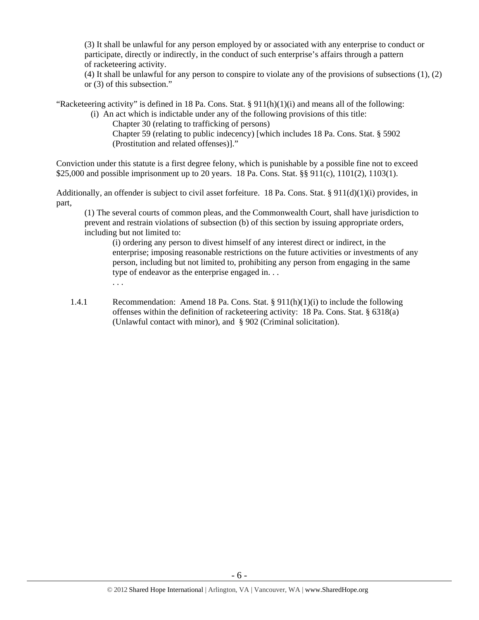(3) It shall be unlawful for any person employed by or associated with any enterprise to conduct or participate, directly or indirectly, in the conduct of such enterprise's affairs through a pattern of racketeering activity.

(4) It shall be unlawful for any person to conspire to violate any of the provisions of subsections (1), (2) or (3) of this subsection."

"Racketeering activity" is defined in 18 Pa. Cons. Stat.  $\S 911(h)(1)(i)$  and means all of the following:

(i) An act which is indictable under any of the following provisions of this title:

Chapter 30 (relating to trafficking of persons)

Chapter 59 (relating to public indecency) [which includes 18 Pa. Cons. Stat. § 5902 (Prostitution and related offenses)]."

Conviction under this statute is a first degree felony, which is punishable by a possible fine not to exceed \$25,000 and possible imprisonment up to 20 years. 18 Pa. Cons. Stat. §§ 911(c), 1101(2), 1103(1).

Additionally, an offender is subject to civil asset forfeiture. 18 Pa. Cons. Stat. § 911(d)(1)(i) provides, in part,

(1) The several courts of common pleas, and the Commonwealth Court, shall have jurisdiction to prevent and restrain violations of subsection (b) of this section by issuing appropriate orders, including but not limited to:

(i) ordering any person to divest himself of any interest direct or indirect, in the enterprise; imposing reasonable restrictions on the future activities or investments of any person, including but not limited to, prohibiting any person from engaging in the same type of endeavor as the enterprise engaged in. . . . . .

1.4.1 Recommendation: Amend 18 Pa. Cons. Stat.  $\S 911(h)(1)(i)$  to include the following offenses within the definition of racketeering activity: 18 Pa. Cons. Stat. § 6318(a) (Unlawful contact with minor), and § 902 (Criminal solicitation).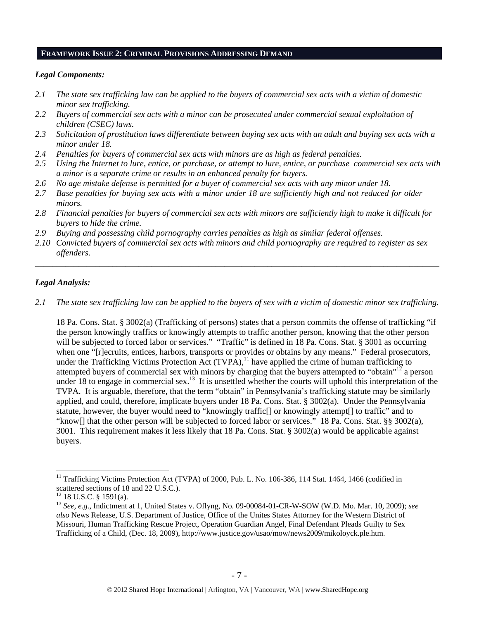#### **FRAMEWORK ISSUE 2: CRIMINAL PROVISIONS ADDRESSING DEMAND**

#### *Legal Components:*

- *2.1 The state sex trafficking law can be applied to the buyers of commercial sex acts with a victim of domestic minor sex trafficking.*
- *2.2 Buyers of commercial sex acts with a minor can be prosecuted under commercial sexual exploitation of children (CSEC) laws.*
- *2.3 Solicitation of prostitution laws differentiate between buying sex acts with an adult and buying sex acts with a minor under 18.*
- *2.4 Penalties for buyers of commercial sex acts with minors are as high as federal penalties.*
- *2.5 Using the Internet to lure, entice, or purchase, or attempt to lure, entice, or purchase commercial sex acts with a minor is a separate crime or results in an enhanced penalty for buyers.*
- *2.6 No age mistake defense is permitted for a buyer of commercial sex acts with any minor under 18.*
- *2.7 Base penalties for buying sex acts with a minor under 18 are sufficiently high and not reduced for older minors.*
- *2.8 Financial penalties for buyers of commercial sex acts with minors are sufficiently high to make it difficult for buyers to hide the crime.*
- *2.9 Buying and possessing child pornography carries penalties as high as similar federal offenses.*
- *2.10 Convicted buyers of commercial sex acts with minors and child pornography are required to register as sex offenders*.

#### *Legal Analysis:*

*2.1 The state sex trafficking law can be applied to the buyers of sex with a victim of domestic minor sex trafficking.*

\_\_\_\_\_\_\_\_\_\_\_\_\_\_\_\_\_\_\_\_\_\_\_\_\_\_\_\_\_\_\_\_\_\_\_\_\_\_\_\_\_\_\_\_\_\_\_\_\_\_\_\_\_\_\_\_\_\_\_\_\_\_\_\_\_\_\_\_\_\_\_\_\_\_\_\_\_\_\_\_\_\_\_\_\_\_\_\_\_\_\_\_\_\_

18 Pa. Cons. Stat. § 3002(a) (Trafficking of persons) states that a person commits the offense of trafficking "if the person knowingly traffics or knowingly attempts to traffic another person, knowing that the other person will be subjected to forced labor or services." "Traffic" is defined in 18 Pa. Cons. Stat. § 3001 as occurring when one "[r]ecruits, entices, harbors, transports or provides or obtains by any means." Federal prosecutors, under the Trafficking Victims Protection Act  $(TVPA)$ ,<sup>11</sup> have applied the crime of human trafficking to attempted buyers of commercial sex with minors by charging that the buyers attempted to "obtain"<sup>12</sup> a person under 18 to engage in commercial sex.<sup>13</sup> It is unsettled whether the courts will uphold this interpretation of the TVPA. It is arguable, therefore, that the term "obtain" in Pennsylvania's trafficking statute may be similarly applied, and could, therefore, implicate buyers under 18 Pa. Cons. Stat. § 3002(a). Under the Pennsylvania statute, however, the buyer would need to "knowingly traffic[] or knowingly attempt[] to traffic" and to "know[] that the other person will be subjected to forced labor or services." 18 Pa. Cons. Stat. §§ 3002(a), 3001. This requirement makes it less likely that 18 Pa. Cons. Stat. § 3002(a) would be applicable against buyers.

 $11$  Trafficking Victims Protection Act (TVPA) of 2000, Pub. L. No. 106-386, 114 Stat. 1464, 1466 (codified in scattered sections of 18 and 22 U.S.C.).

 $12$  18 U.S.C. § 1591(a).

<sup>13</sup> *See, e.g*., Indictment at 1, United States v. Oflyng, No. 09-00084-01-CR-W-SOW (W.D. Mo. Mar. 10, 2009); *see also* News Release, U.S. Department of Justice, Office of the Unites States Attorney for the Western District of Missouri, Human Trafficking Rescue Project, Operation Guardian Angel, Final Defendant Pleads Guilty to Sex Trafficking of a Child, (Dec. 18, 2009), http://www.justice.gov/usao/mow/news2009/mikoloyck.ple.htm.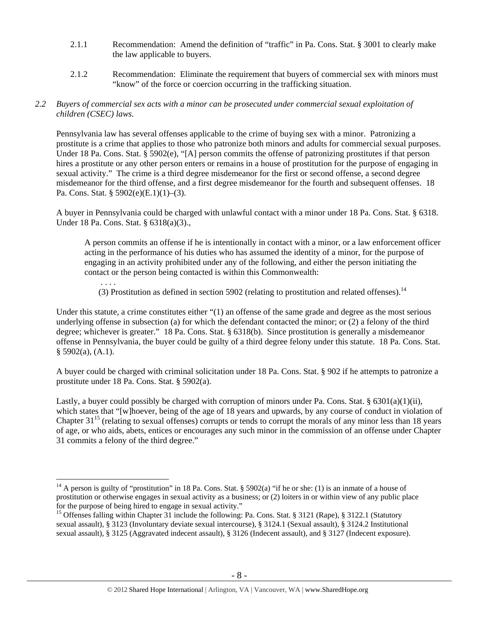- 2.1.1 Recommendation: Amend the definition of "traffic" in Pa. Cons. Stat. § 3001 to clearly make the law applicable to buyers.
- 2.1.2 Recommendation: Eliminate the requirement that buyers of commercial sex with minors must "know" of the force or coercion occurring in the trafficking situation.

## *2.2 Buyers of commercial sex acts with a minor can be prosecuted under commercial sexual exploitation of children (CSEC) laws.*

Pennsylvania law has several offenses applicable to the crime of buying sex with a minor. Patronizing a prostitute is a crime that applies to those who patronize both minors and adults for commercial sexual purposes. Under 18 Pa. Cons. Stat. § 5902(e), "[A] person commits the offense of patronizing prostitutes if that person hires a prostitute or any other person enters or remains in a house of prostitution for the purpose of engaging in sexual activity." The crime is a third degree misdemeanor for the first or second offense, a second degree misdemeanor for the third offense, and a first degree misdemeanor for the fourth and subsequent offenses. 18 Pa. Cons. Stat. § 5902(e)(E.1)(1)–(3).

A buyer in Pennsylvania could be charged with unlawful contact with a minor under 18 Pa. Cons. Stat. § 6318. Under 18 Pa. Cons. Stat. § 6318(a)(3).,

A person commits an offense if he is intentionally in contact with a minor, or a law enforcement officer acting in the performance of his duties who has assumed the identity of a minor, for the purpose of engaging in an activity prohibited under any of the following, and either the person initiating the contact or the person being contacted is within this Commonwealth:

 . . . . (3) Prostitution as defined in section 5902 (relating to prostitution and related offenses).<sup>14</sup>

Under this statute, a crime constitutes either "(1) an offense of the same grade and degree as the most serious underlying offense in subsection (a) for which the defendant contacted the minor; or (2) a felony of the third degree; whichever is greater." 18 Pa. Cons. Stat. § 6318(b). Since prostitution is generally a misdemeanor offense in Pennsylvania, the buyer could be guilty of a third degree felony under this statute. 18 Pa. Cons. Stat.  $§$  5902(a), (A.1).

A buyer could be charged with criminal solicitation under 18 Pa. Cons. Stat. § 902 if he attempts to patronize a prostitute under 18 Pa. Cons. Stat. § 5902(a).

Lastly, a buyer could possibly be charged with corruption of minors under Pa. Cons. Stat. § 6301(a)(1)(ii), which states that "[w]hoever, being of the age of 18 years and upwards, by any course of conduct in violation of Chapter  $31^{15}$  (relating to sexual offenses) corrupts or tends to corrupt the morals of any minor less than 18 years of age, or who aids, abets, entices or encourages any such minor in the commission of an offense under Chapter 31 commits a felony of the third degree."

<sup>&</sup>lt;sup>14</sup> A person is guilty of "prostitution" in 18 Pa. Cons. Stat. § 5902(a) "if he or she: (1) is an inmate of a house of prostitution or otherwise engages in sexual activity as a business; or (2) loiters in or within view of any public place for the purpose of being hired to engage in sexual activity."

<sup>&</sup>lt;sup>15</sup> Offenses falling within Chapter 31 include the following: Pa. Cons. Stat. § 3121 (Rape), § 3122.1 (Statutory sexual assault), § 3123 (Involuntary deviate sexual intercourse), § 3124.1 (Sexual assault), § 3124.2 Institutional sexual assault), § 3125 (Aggravated indecent assault), § 3126 (Indecent assault), and § 3127 (Indecent exposure).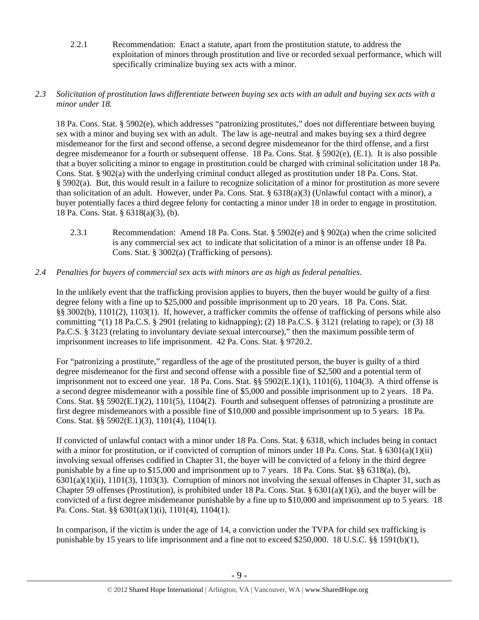2.2.1 Recommendation: Enact a statute, apart from the prostitution statute, to address the exploitation of minors through prostitution and live or recorded sexual performance, which will specifically criminalize buying sex acts with a minor.

## *2.3 Solicitation of prostitution laws differentiate between buying sex acts with an adult and buying sex acts with a minor under 18.*

18 Pa. Cons. Stat. § 5902(e), which addresses "patronizing prostitutes," does not differentiate between buying sex with a minor and buying sex with an adult. The law is age-neutral and makes buying sex a third degree misdemeanor for the first and second offense, a second degree misdemeanor for the third offense, and a first degree misdemeanor for a fourth or subsequent offense. 18 Pa. Cons. Stat. § 5902(e), (E.1). It is also possible that a buyer soliciting a minor to engage in prostitution could be charged with criminal solicitation under 18 Pa. Cons. Stat. § 902(a) with the underlying criminal conduct alleged as prostitution under 18 Pa. Cons. Stat. § 5902(a). But, this would result in a failure to recognize solicitation of a minor for prostitution as more severe than solicitation of an adult. However, under Pa. Cons. Stat. § 6318(a)(3) (Unlawful contact with a minor), a buyer potentially faces a third degree felony for contacting a minor under 18 in order to engage in prostitution. 18 Pa. Cons. Stat. § 6318(a)(3), (b).

2.3.1 Recommendation: Amend 18 Pa. Cons. Stat. § 5902(e) and § 902(a) when the crime solicited is any commercial sex act to indicate that solicitation of a minor is an offense under 18 Pa. Cons. Stat. § 3002(a) (Trafficking of persons).

## *2.4 Penalties for buyers of commercial sex acts with minors are as high as federal penalties.*

In the unlikely event that the trafficking provision applies to buyers, then the buyer would be guilty of a first degree felony with a fine up to \$25,000 and possible imprisonment up to 20 years. 18 Pa. Cons. Stat. §§ 3002(b), 1101(2), 1103(1). If, however, a trafficker commits the offense of trafficking of persons while also committing "(1) 18 Pa.C.S.  $\S 2901$  (relating to kidnapping); (2) 18 Pa.C.S.  $\S 3121$  (relating to rape); or (3) 18 Pa.C.S. § 3123 (relating to involuntary deviate sexual intercourse)," then the maximum possible term of imprisonment increases to life imprisonment. 42 Pa. Cons. Stat. § 9720.2.

For "patronizing a prostitute," regardless of the age of the prostituted person, the buyer is guilty of a third degree misdemeanor for the first and second offense with a possible fine of \$2,500 and a potential term of imprisonment not to exceed one year. 18 Pa. Cons. Stat. §§ 5902(E.1)(1), 1101(6), 1104(3). A third offense is a second degree misdemeanor with a possible fine of \$5,000 and possible imprisonment up to 2 years. 18 Pa. Cons. Stat. §§ 5902(E.1)(2), 1101(5), 1104(2). Fourth and subsequent offenses of patronizing a prostitute are first degree misdemeanors with a possible fine of \$10,000 and possible imprisonment up to 5 years. 18 Pa. Cons. Stat. §§ 5902(E.1)(3), 1101(4), 1104(1).

If convicted of unlawful contact with a minor under 18 Pa. Cons. Stat. § 6318, which includes being in contact with a minor for prostitution, or if convicted of corruption of minors under 18 Pa. Cons. Stat. §  $6301(a)(1)(ii)$ involving sexual offenses codified in Chapter 31, the buyer will be convicted of a felony in the third degree punishable by a fine up to \$15,000 and imprisonment up to 7 years. 18 Pa. Cons. Stat. §§ 6318(a), (b),  $6301(a)(1)(ii)$ ,  $1101(3)$ ,  $1103(3)$ . Corruption of minors not involving the sexual offenses in Chapter 31, such as Chapter 59 offenses (Prostitution), is prohibited under 18 Pa. Cons. Stat. § 6301(a)(1)(i), and the buyer will be convicted of a first degree misdemeanor punishable by a fine up to \$10,000 and imprisonment up to 5 years. 18 Pa. Cons. Stat. §§ 6301(a)(1)(i), 1101(4), 1104(1).

In comparison, if the victim is under the age of 14, a conviction under the TVPA for child sex trafficking is punishable by 15 years to life imprisonment and a fine not to exceed \$250,000. 18 U.S.C. §§ 1591(b)(1),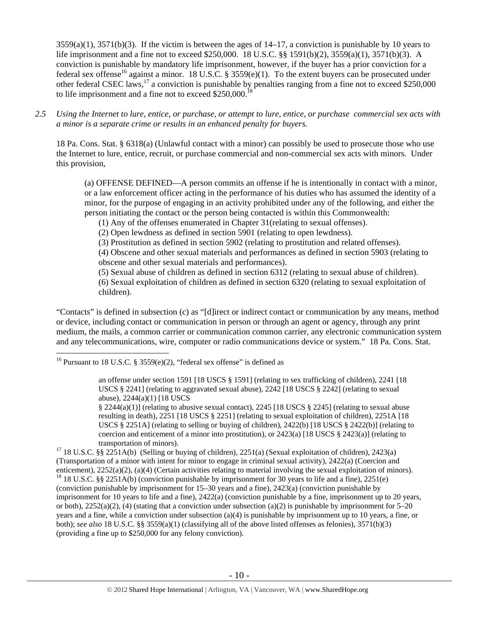$3559(a)(1)$ ,  $3571(b)(3)$ . If the victim is between the ages of  $14-17$ , a conviction is punishable by 10 years to life imprisonment and a fine not to exceed \$250,000. 18 U.S.C. §§ 1591(b)(2), 3559(a)(1), 3571(b)(3). A conviction is punishable by mandatory life imprisonment, however, if the buyer has a prior conviction for a federal sex offense<sup>16</sup> against a minor. 18 U.S.C. § 3559(e)(1). To the extent buyers can be prosecuted under other federal CSEC laws,<sup>17</sup> a conviction is punishable by penalties ranging from a fine not to exceed \$250,000 to life imprisonment and a fine not to exceed  $$250,000$ <sup>1</sup>

*2.5 Using the Internet to lure, entice, or purchase, or attempt to lure, entice, or purchase commercial sex acts with a minor is a separate crime or results in an enhanced penalty for buyers.* 

18 Pa. Cons. Stat. § 6318(a) (Unlawful contact with a minor) can possibly be used to prosecute those who use the Internet to lure, entice, recruit, or purchase commercial and non-commercial sex acts with minors. Under this provision,

(a) OFFENSE DEFINED—A person commits an offense if he is intentionally in contact with a minor, or a law enforcement officer acting in the performance of his duties who has assumed the identity of a minor, for the purpose of engaging in an activity prohibited under any of the following, and either the person initiating the contact or the person being contacted is within this Commonwealth:

(1) Any of the offenses enumerated in Chapter 31(relating to sexual offenses).

(2) Open lewdness as defined in section 5901 (relating to open lewdness).

(3) Prostitution as defined in section 5902 (relating to prostitution and related offenses).

(4) Obscene and other sexual materials and performances as defined in section 5903 (relating to obscene and other sexual materials and performances).

(5) Sexual abuse of children as defined in section 6312 (relating to sexual abuse of children). (6) Sexual exploitation of children as defined in section 6320 (relating to sexual exploitation of children).

"Contacts" is defined in subsection (c) as "[d]irect or indirect contact or communication by any means, method or device, including contact or communication in person or through an agent or agency, through any print medium, the mails, a common carrier or communication common carrier, any electronic communication system and any telecommunications, wire, computer or radio communications device or system." 18 Pa. Cons. Stat.

<sup>16</sup> Pursuant to 18 U.S.C. § 3559(e)(2), "federal sex offense" is defined as

 $\overline{a}$ 

an offense under section 1591 [18 USCS § 1591] (relating to sex trafficking of children), 2241 [18 USCS § 2241] (relating to aggravated sexual abuse), 2242 [18 USCS § 2242] (relating to sexual abuse), 2244(a)(1) [18 USCS

§ 2244(a)(1)] (relating to abusive sexual contact), 2245 [18 USCS § 2245] (relating to sexual abuse resulting in death), 2251 [18 USCS § 2251] (relating to sexual exploitation of children), 2251A [18 USCS § 2251A] (relating to selling or buying of children), 2422(b) [18 USCS § 2422(b)] (relating to coercion and enticement of a minor into prostitution), or  $2423(a)$  [18 USCS § 2423(a)] (relating to transportation of minors).<br><sup>17</sup> 18 U.S.C. §§ 2251A(b) (Selling or buying of children), 2251(a) (Sexual exploitation of children), 2423(a)

(Transportation of a minor with intent for minor to engage in criminal sexual activity), 2422(a) (Coercion and enticement), 2252(a)(2), (a)(4) (Certain activities relating to material involving the sexual exploitation of minors). <sup>18</sup> 18 U.S.C. §§ 2251A(b) (conviction punishable by imprisonment for 30 years to life and a fine), 225

(conviction punishable by imprisonment for 15–30 years and a fine), 2423(a) (conviction punishable by imprisonment for 10 years to life and a fine), 2422(a) (conviction punishable by a fine, imprisonment up to 20 years, or both),  $2252(a)(2)$ , (4) (stating that a conviction under subsection (a)(2) is punishable by imprisonment for 5–20 years and a fine, while a conviction under subsection (a)(4) is punishable by imprisonment up to 10 years, a fine, or both); *see also* 18 U.S.C. §§ 3559(a)(1) (classifying all of the above listed offenses as felonies), 3571(b)(3) (providing a fine up to \$250,000 for any felony conviction).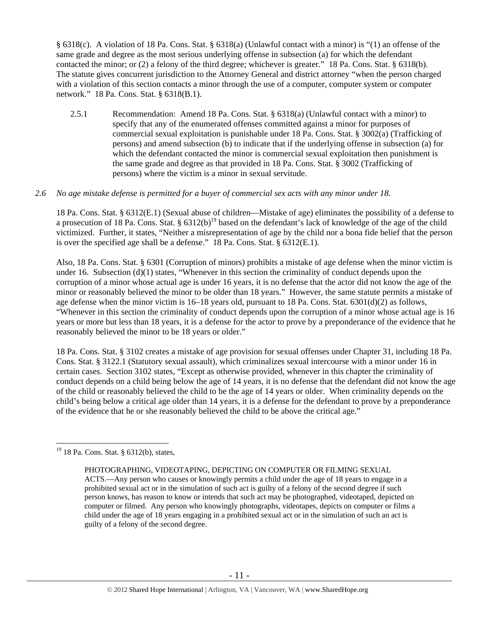§ 6318(c). A violation of 18 Pa. Cons. Stat. § 6318(a) (Unlawful contact with a minor) is "(1) an offense of the same grade and degree as the most serious underlying offense in subsection (a) for which the defendant contacted the minor; or (2) a felony of the third degree; whichever is greater." 18 Pa. Cons. Stat. § 6318(b). The statute gives concurrent jurisdiction to the Attorney General and district attorney "when the person charged with a violation of this section contacts a minor through the use of a computer, computer system or computer network." 18 Pa. Cons. Stat. § 6318(B.1).

2.5.1 Recommendation: Amend 18 Pa. Cons. Stat. § 6318(a) (Unlawful contact with a minor) to specify that any of the enumerated offenses committed against a minor for purposes of commercial sexual exploitation is punishable under 18 Pa. Cons. Stat. § 3002(a) (Trafficking of persons) and amend subsection (b) to indicate that if the underlying offense in subsection (a) for which the defendant contacted the minor is commercial sexual exploitation then punishment is the same grade and degree as that provided in 18 Pa. Cons. Stat. § 3002 (Trafficking of persons) where the victim is a minor in sexual servitude.

#### *2.6 No age mistake defense is permitted for a buyer of commercial sex acts with any minor under 18.*

18 Pa. Cons. Stat. § 6312(E.1) (Sexual abuse of children—Mistake of age) eliminates the possibility of a defense to a prosecution of 18 Pa. Cons. Stat.  $\S 6312(b)^{19}$  based on the defendant's lack of knowledge of the age of the child victimized. Further, it states, "Neither a misrepresentation of age by the child nor a bona fide belief that the person is over the specified age shall be a defense." 18 Pa. Cons. Stat. § 6312(E.1).

Also, 18 Pa. Cons. Stat. § 6301 (Corruption of minors) prohibits a mistake of age defense when the minor victim is under 16. Subsection  $(d)(1)$  states, "Whenever in this section the criminality of conduct depends upon the corruption of a minor whose actual age is under 16 years, it is no defense that the actor did not know the age of the minor or reasonably believed the minor to be older than 18 years." However, the same statute permits a mistake of age defense when the minor victim is 16–18 years old, pursuant to 18 Pa. Cons. Stat. 6301(d)(2) as follows, "Whenever in this section the criminality of conduct depends upon the corruption of a minor whose actual age is 16 years or more but less than 18 years, it is a defense for the actor to prove by a preponderance of the evidence that he reasonably believed the minor to be 18 years or older."

18 Pa. Cons. Stat. § 3102 creates a mistake of age provision for sexual offenses under Chapter 31, including 18 Pa. Cons. Stat. § 3122.1 (Statutory sexual assault), which criminalizes sexual intercourse with a minor under 16 in certain cases. Section 3102 states, "Except as otherwise provided, whenever in this chapter the criminality of conduct depends on a child being below the age of 14 years, it is no defense that the defendant did not know the age of the child or reasonably believed the child to be the age of 14 years or older. When criminality depends on the child's being below a critical age older than 14 years, it is a defense for the defendant to prove by a preponderance of the evidence that he or she reasonably believed the child to be above the critical age."

<sup>&</sup>lt;sup>19</sup> 18 Pa. Cons. Stat. § 6312(b), states,

PHOTOGRAPHING, VIDEOTAPING, DEPICTING ON COMPUTER OR FILMING SEXUAL ACTS.—Any person who causes or knowingly permits a child under the age of 18 years to engage in a prohibited sexual act or in the simulation of such act is guilty of a felony of the second degree if such person knows, has reason to know or intends that such act may be photographed, videotaped, depicted on computer or filmed. Any person who knowingly photographs, videotapes, depicts on computer or films a child under the age of 18 years engaging in a prohibited sexual act or in the simulation of such an act is guilty of a felony of the second degree.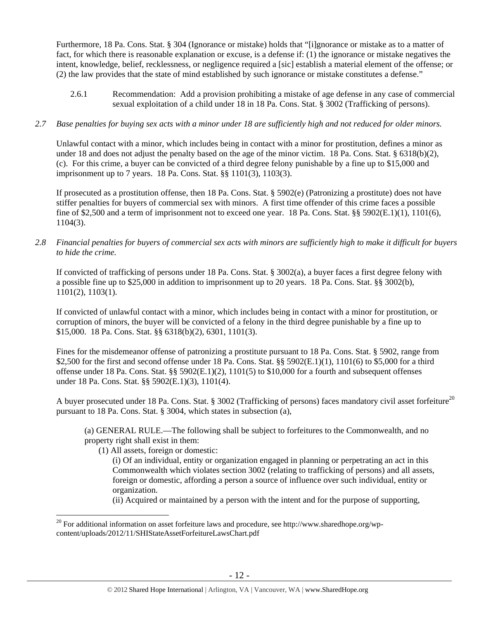Furthermore, 18 Pa. Cons. Stat. § 304 (Ignorance or mistake) holds that "[i]gnorance or mistake as to a matter of fact, for which there is reasonable explanation or excuse, is a defense if: (1) the ignorance or mistake negatives the intent, knowledge, belief, recklessness, or negligence required a [sic] establish a material element of the offense; or (2) the law provides that the state of mind established by such ignorance or mistake constitutes a defense."

2.6.1 Recommendation: Add a provision prohibiting a mistake of age defense in any case of commercial sexual exploitation of a child under 18 in 18 Pa. Cons. Stat. § 3002 (Trafficking of persons).

## *2.7 Base penalties for buying sex acts with a minor under 18 are sufficiently high and not reduced for older minors.*

Unlawful contact with a minor, which includes being in contact with a minor for prostitution, defines a minor as under 18 and does not adjust the penalty based on the age of the minor victim. 18 Pa. Cons. Stat. § 6318(b)(2), (c). For this crime, a buyer can be convicted of a third degree felony punishable by a fine up to \$15,000 and imprisonment up to 7 years. 18 Pa. Cons. Stat. §§ 1101(3), 1103(3).

If prosecuted as a prostitution offense, then 18 Pa. Cons. Stat. § 5902(e) (Patronizing a prostitute) does not have stiffer penalties for buyers of commercial sex with minors. A first time offender of this crime faces a possible fine of \$2,500 and a term of imprisonment not to exceed one year. 18 Pa. Cons. Stat. §§ 5902(E.1)(1), 1101(6), 1104(3).

*2.8 Financial penalties for buyers of commercial sex acts with minors are sufficiently high to make it difficult for buyers to hide the crime.* 

If convicted of trafficking of persons under 18 Pa. Cons. Stat. § 3002(a), a buyer faces a first degree felony with a possible fine up to \$25,000 in addition to imprisonment up to 20 years. 18 Pa. Cons. Stat. §§ 3002(b), 1101(2), 1103(1).

If convicted of unlawful contact with a minor, which includes being in contact with a minor for prostitution, or corruption of minors, the buyer will be convicted of a felony in the third degree punishable by a fine up to \$15,000. 18 Pa. Cons. Stat. §§ 6318(b)(2), 6301, 1101(3).

Fines for the misdemeanor offense of patronizing a prostitute pursuant to 18 Pa. Cons. Stat. § 5902, range from \$2,500 for the first and second offense under 18 Pa. Cons. Stat. §§ 5902(E.1)(1), 1101(6) to \$5,000 for a third offense under 18 Pa. Cons. Stat. §§ 5902(E.1)(2), 1101(5) to \$10,000 for a fourth and subsequent offenses under 18 Pa. Cons. Stat. §§ 5902(E.1)(3), 1101(4).

A buyer prosecuted under 18 Pa. Cons. Stat. § 3002 (Trafficking of persons) faces mandatory civil asset forfeiture<sup>20</sup> pursuant to 18 Pa. Cons. Stat. § 3004, which states in subsection (a),

(a) GENERAL RULE.—The following shall be subject to forfeitures to the Commonwealth, and no property right shall exist in them:

(1) All assets, foreign or domestic:

 $\overline{a}$ 

(i) Of an individual, entity or organization engaged in planning or perpetrating an act in this Commonwealth which violates section 3002 (relating to trafficking of persons) and all assets, foreign or domestic, affording a person a source of influence over such individual, entity or organization.

(ii) Acquired or maintained by a person with the intent and for the purpose of supporting,

<sup>&</sup>lt;sup>20</sup> For additional information on asset forfeiture laws and procedure, see http://www.sharedhope.org/wpcontent/uploads/2012/11/SHIStateAssetForfeitureLawsChart.pdf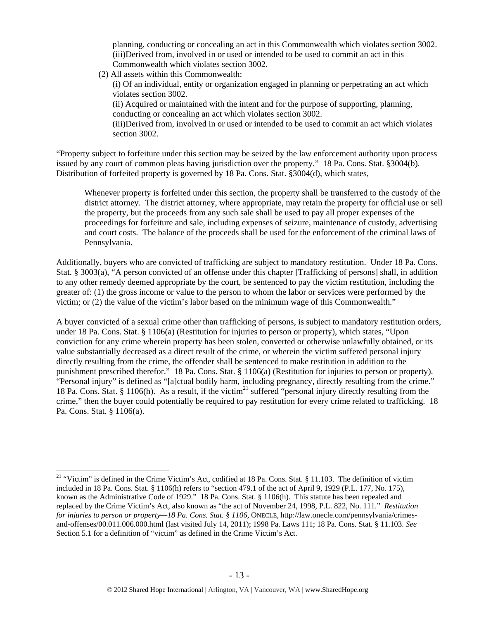planning, conducting or concealing an act in this Commonwealth which violates section 3002. (iii)Derived from, involved in or used or intended to be used to commit an act in this Commonwealth which violates section 3002.

(2) All assets within this Commonwealth:

(i) Of an individual, entity or organization engaged in planning or perpetrating an act which violates section 3002.

(ii) Acquired or maintained with the intent and for the purpose of supporting, planning, conducting or concealing an act which violates section 3002.

(iii)Derived from, involved in or used or intended to be used to commit an act which violates section 3002.

"Property subject to forfeiture under this section may be seized by the law enforcement authority upon process issued by any court of common pleas having jurisdiction over the property." 18 Pa. Cons. Stat. §3004(b). Distribution of forfeited property is governed by 18 Pa. Cons. Stat. §3004(d), which states,

Whenever property is forfeited under this section, the property shall be transferred to the custody of the district attorney. The district attorney, where appropriate, may retain the property for official use or sell the property, but the proceeds from any such sale shall be used to pay all proper expenses of the proceedings for forfeiture and sale, including expenses of seizure, maintenance of custody, advertising and court costs. The balance of the proceeds shall be used for the enforcement of the criminal laws of Pennsylvania.

Additionally, buyers who are convicted of trafficking are subject to mandatory restitution. Under 18 Pa. Cons. Stat. § 3003(a), "A person convicted of an offense under this chapter [Trafficking of persons] shall, in addition to any other remedy deemed appropriate by the court, be sentenced to pay the victim restitution, including the greater of: (1) the gross income or value to the person to whom the labor or services were performed by the victim; or (2) the value of the victim's labor based on the minimum wage of this Commonwealth."

A buyer convicted of a sexual crime other than trafficking of persons, is subject to mandatory restitution orders, under 18 Pa. Cons. Stat. § 1106(a) (Restitution for injuries to person or property), which states, "Upon conviction for any crime wherein property has been stolen, converted or otherwise unlawfully obtained, or its value substantially decreased as a direct result of the crime, or wherein the victim suffered personal injury directly resulting from the crime, the offender shall be sentenced to make restitution in addition to the punishment prescribed therefor." 18 Pa. Cons. Stat. § 1106(a) (Restitution for injuries to person or property). "Personal injury" is defined as "[a]ctual bodily harm, including pregnancy, directly resulting from the crime." 18 Pa. Cons. Stat. § 1106(h). As a result, if the victim<sup>21</sup> suffered "personal injury directly resulting from the crime," then the buyer could potentially be required to pay restitution for every crime related to trafficking. 18 Pa. Cons. Stat. § 1106(a).

<sup>&</sup>lt;sup>21</sup> "Victim" is defined in the Crime Victim's Act, codified at 18 Pa. Cons. Stat. § 11.103. The definition of victim included in 18 Pa. Cons. Stat. § 1106(h) refers to "section 479.1 of the act of April 9, 1929 (P.L. 177, No. 175), known as the Administrative Code of 1929." 18 Pa. Cons. Stat. § 1106(h). This statute has been repealed and replaced by the Crime Victim's Act, also known as "the act of November 24, 1998, P.L. 822, No. 111." *Restitution for injuries to person or property—18 Pa. Cons. Stat. § 1106*, ONECLE, http://law.onecle.com/pennsylvania/crimesand-offenses/00.011.006.000.html (last visited July 14, 2011); 1998 Pa. Laws 111; 18 Pa. Cons. Stat. § 11.103. *See* Section 5.1 for a definition of "victim" as defined in the Crime Victim's Act.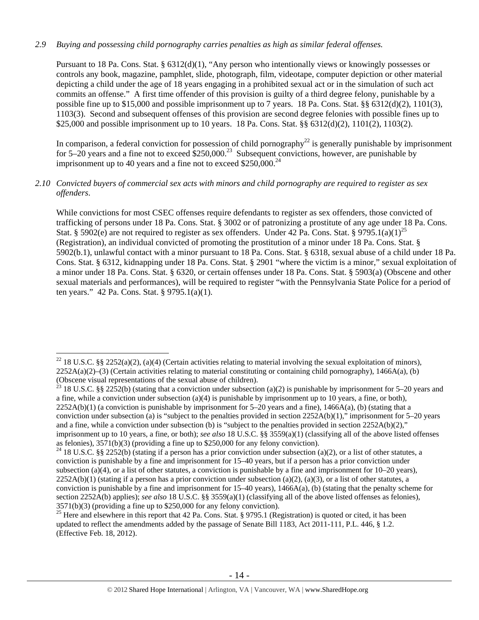## *2.9 Buying and possessing child pornography carries penalties as high as similar federal offenses.*

Pursuant to 18 Pa. Cons. Stat. § 6312(d)(1), "Any person who intentionally views or knowingly possesses or controls any book, magazine, pamphlet, slide, photograph, film, videotape, computer depiction or other material depicting a child under the age of 18 years engaging in a prohibited sexual act or in the simulation of such act commits an offense." A first time offender of this provision is guilty of a third degree felony, punishable by a possible fine up to \$15,000 and possible imprisonment up to 7 years. 18 Pa. Cons. Stat. §§ 6312(d)(2), 1101(3), 1103(3). Second and subsequent offenses of this provision are second degree felonies with possible fines up to \$25,000 and possible imprisonment up to 10 years. 18 Pa. Cons. Stat. §§ 6312(d)(2), 1101(2), 1103(2).

In comparison, a federal conviction for possession of child pornography<sup>22</sup> is generally punishable by imprisonment for 5–20 years and a fine not to exceed  $$250,000.<sup>23</sup>$  Subsequent convictions, however, are punishable by imprisonment up to 40 years and a fine not to exceed  $$250,000.<sup>24</sup>$ 

## *2.10 Convicted buyers of commercial sex acts with minors and child pornography are required to register as sex offenders*.

While convictions for most CSEC offenses require defendants to register as sex offenders, those convicted of trafficking of persons under 18 Pa. Cons. Stat. § 3002 or of patronizing a prostitute of any age under 18 Pa. Cons. Stat. § 5902(e) are not required to register as sex offenders. Under 42 Pa. Cons. Stat. § 9795.1(a)(1)<sup>25</sup> (Registration), an individual convicted of promoting the prostitution of a minor under 18 Pa. Cons. Stat. § 5902(b.1), unlawful contact with a minor pursuant to 18 Pa. Cons. Stat. § 6318, sexual abuse of a child under 18 Pa. Cons. Stat. § 6312, kidnapping under 18 Pa. Cons. Stat. § 2901 "where the victim is a minor," sexual exploitation of a minor under 18 Pa. Cons. Stat. § 6320, or certain offenses under 18 Pa. Cons. Stat. § 5903(a) (Obscene and other sexual materials and performances), will be required to register "with the Pennsylvania State Police for a period of ten years." 42 Pa. Cons. Stat. § 9795.1(a)(1).

<sup>&</sup>lt;sup>22</sup> 18 U.S.C. §§ 2252(a)(2), (a)(4) (Certain activities relating to material involving the sexual exploitation of minors),  $2252A(a)(2)$ –(3) (Certain activities relating to material constituting or containing child pornography), 1466A(a), (b) (Obscene visual representations of the sexual abuse of children).

<sup>&</sup>lt;sup>23</sup> 18 U.S.C. §§ 2252(b) (stating that a conviction under subsection (a)(2) is punishable by imprisonment for 5–20 years and a fine, while a conviction under subsection (a)(4) is punishable by imprisonment up to 10 years, a fine, or both),  $2252A(b)(1)$  (a conviction is punishable by imprisonment for 5–20 years and a fine), 1466A(a), (b) (stating that a conviction under subsection (a) is "subject to the penalties provided in section  $2252A(b)(1)$ ," imprisonment for  $5-20$  years and a fine, while a conviction under subsection (b) is "subject to the penalties provided in section  $2252A(b)(2)$ ," imprisonment up to 10 years, a fine, or both); *see also* 18 U.S.C. §§ 3559(a)(1) (classifying all of the above listed offenses as felonies), 3571(b)(3) (providing a fine up to \$250,000 for any felony conviction).

<sup>&</sup>lt;sup>24</sup> 18 U.S.C. §§ 2252(b) (stating if a person has a prior conviction under subsection (a)(2), or a list of other statutes, a conviction is punishable by a fine and imprisonment for 15–40 years, but if a person has a prior conviction under subsection (a)(4), or a list of other statutes, a conviction is punishable by a fine and imprisonment for  $10-20$  years),  $2252A(b)(1)$  (stating if a person has a prior conviction under subsection (a)(2), (a)(3), or a list of other statutes, a conviction is punishable by a fine and imprisonment for  $15-40$  years),  $1466A(a)$ , (b) (stating that the penalty scheme for section 2252A(b) applies); *see also* 18 U.S.C. §§ 3559(a)(1) (classifying all of the above listed offenses as felonies), 3571(b)(3) (providing a fine up to \$250,000 for any felony conviction).

<sup>&</sup>lt;sup>25</sup> Here and elsewhere in this report that 42 Pa. Cons. Stat. § 9795.1 (Registration) is quoted or cited, it has been updated to reflect the amendments added by the passage of Senate Bill 1183, Act 2011-111, P.L. 446, § 1.2. (Effective Feb. 18, 2012).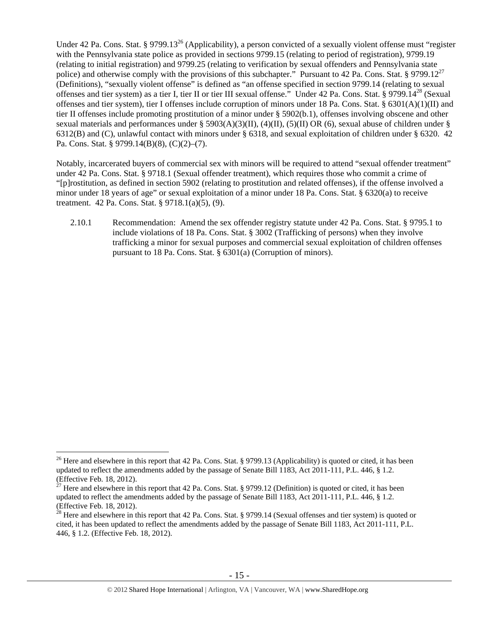Under 42 Pa. Cons. Stat. § 9799.13<sup>26</sup> (Applicability), a person convicted of a sexually violent offense must "register" with the Pennsylvania state police as provided in sections 9799.15 (relating to period of registration), 9799.19 (relating to initial registration) and 9799.25 (relating to verification by sexual offenders and Pennsylvania state police) and otherwise comply with the provisions of this subchapter." Pursuant to 42 Pa. Cons. Stat. § 9799.12<sup>27</sup> (Definitions), "sexually violent offense" is defined as "an offense specified in section 9799.14 (relating to sexual offenses and tier system) as a tier I, tier II or tier III sexual offense." Under 42 Pa. Cons. Stat. § 9799.14<sup>28</sup> (Sexual offenses and tier system), tier I offenses include corruption of minors under 18 Pa. Cons. Stat. §  $6301(A)(1)(II)$  and tier II offenses include promoting prostitution of a minor under § 5902(b.1), offenses involving obscene and other sexual materials and performances under § 5903(A)(3)(II), (4)(II), (5)(II) OR (6), sexual abuse of children under § 6312(B) and (C), unlawful contact with minors under § 6318, and sexual exploitation of children under § 6320. 42 Pa. Cons. Stat. § 9799.14(B)(8), (C)(2)–(7).

Notably, incarcerated buyers of commercial sex with minors will be required to attend "sexual offender treatment" under 42 Pa. Cons. Stat. § 9718.1 (Sexual offender treatment), which requires those who commit a crime of "[p]rostitution, as defined in section 5902 (relating to prostitution and related offenses), if the offense involved a minor under 18 years of age" or sexual exploitation of a minor under 18 Pa. Cons. Stat. § 6320(a) to receive treatment. 42 Pa. Cons. Stat. § 9718.1(a)(5), (9).

2.10.1 Recommendation: Amend the sex offender registry statute under 42 Pa. Cons. Stat. § 9795.1 to include violations of 18 Pa. Cons. Stat. § 3002 (Trafficking of persons) when they involve trafficking a minor for sexual purposes and commercial sexual exploitation of children offenses pursuant to 18 Pa. Cons. Stat. § 6301(a) (Corruption of minors).

<sup>&</sup>lt;sup>26</sup> Here and elsewhere in this report that 42 Pa. Cons. Stat. § 9799.13 (Applicability) is quoted or cited, it has been updated to reflect the amendments added by the passage of Senate Bill 1183, Act 2011-111, P.L. 446, § 1.2. (Effective Feb. 18, 2012).

<sup>&</sup>lt;sup>27</sup> Here and elsewhere in this report that 42 Pa. Cons. Stat. § 9799.12 (Definition) is quoted or cited, it has been updated to reflect the amendments added by the passage of Senate Bill 1183, Act 2011-111, P.L. 446, § 1.2. (Effective Feb. 18, 2012).

 $28$  Here and elsewhere in this report that 42 Pa. Cons. Stat. § 9799.14 (Sexual offenses and tier system) is quoted or cited, it has been updated to reflect the amendments added by the passage of Senate Bill 1183, Act 2011-111, P.L. 446, § 1.2. (Effective Feb. 18, 2012).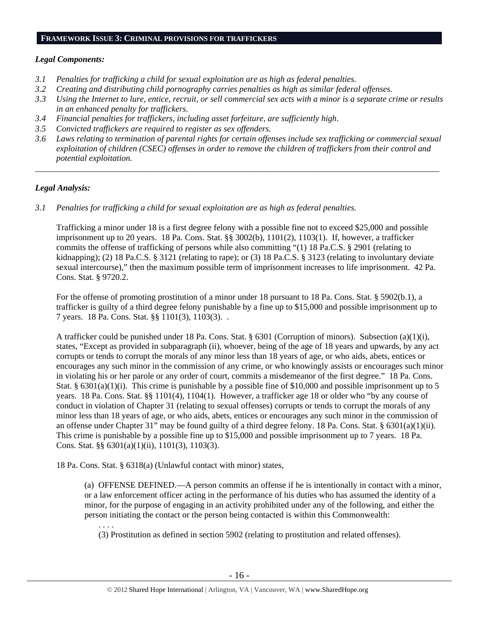#### **FRAMEWORK ISSUE 3: CRIMINAL PROVISIONS FOR TRAFFICKERS**

#### *Legal Components:*

- *3.1 Penalties for trafficking a child for sexual exploitation are as high as federal penalties.*
- *3.2 Creating and distributing child pornography carries penalties as high as similar federal offenses*.
- *3.3 Using the Internet to lure, entice, recruit, or sell commercial sex acts with a minor is a separate crime or results in an enhanced penalty for traffickers.*
- *3.4 Financial penalties for traffickers, including asset forfeiture, are sufficiently high*.
- *3.5 Convicted traffickers are required to register as sex offenders.*
- *3.6 Laws relating to termination of parental rights for certain offenses include sex trafficking or commercial sexual exploitation of children (CSEC) offenses in order to remove the children of traffickers from their control and potential exploitation.*

*\_\_\_\_\_\_\_\_\_\_\_\_\_\_\_\_\_\_\_\_\_\_\_\_\_\_\_\_\_\_\_\_\_\_\_\_\_\_\_\_\_\_\_\_\_\_\_\_\_\_\_\_\_\_\_\_\_\_\_\_\_\_\_\_\_\_\_\_\_\_\_\_\_\_\_\_\_\_\_\_\_\_\_\_\_\_\_\_\_\_\_\_\_\_* 

## *Legal Analysis:*

*3.1 Penalties for trafficking a child for sexual exploitation are as high as federal penalties.* 

Trafficking a minor under 18 is a first degree felony with a possible fine not to exceed \$25,000 and possible imprisonment up to 20 years. 18 Pa. Cons. Stat. §§ 3002(b), 1101(2), 1103(1). If, however, a trafficker commits the offense of trafficking of persons while also committing "(1) 18 Pa.C.S. § 2901 (relating to kidnapping); (2) 18 Pa.C.S. § 3121 (relating to rape); or (3) 18 Pa.C.S. § 3123 (relating to involuntary deviate sexual intercourse)," then the maximum possible term of imprisonment increases to life imprisonment. 42 Pa. Cons. Stat. § 9720.2.

For the offense of promoting prostitution of a minor under 18 pursuant to 18 Pa. Cons. Stat. § 5902(b.1), a trafficker is guilty of a third degree felony punishable by a fine up to \$15,000 and possible imprisonment up to 7 years. 18 Pa. Cons. Stat. §§ 1101(3), 1103(3). .

A trafficker could be punished under 18 Pa. Cons. Stat. § 6301 (Corruption of minors). Subsection (a)(1)(i), states, "Except as provided in subparagraph (ii), whoever, being of the age of 18 years and upwards, by any act corrupts or tends to corrupt the morals of any minor less than 18 years of age, or who aids, abets, entices or encourages any such minor in the commission of any crime, or who knowingly assists or encourages such minor in violating his or her parole or any order of court, commits a misdemeanor of the first degree." 18 Pa. Cons. Stat. §  $6301(a)(1)(i)$ . This crime is punishable by a possible fine of \$10,000 and possible imprisonment up to 5 years. 18 Pa. Cons. Stat. §§ 1101(4), 1104(1). However, a trafficker age 18 or older who "by any course of conduct in violation of Chapter 31 (relating to sexual offenses) corrupts or tends to corrupt the morals of any minor less than 18 years of age, or who aids, abets, entices or encourages any such minor in the commission of an offense under Chapter 31" may be found guilty of a third degree felony. 18 Pa. Cons. Stat. §  $6301(a)(1)(ii)$ . This crime is punishable by a possible fine up to \$15,000 and possible imprisonment up to 7 years. 18 Pa. Cons. Stat. §§ 6301(a)(1)(ii), 1101(3), 1103(3).

18 Pa. Cons. Stat. § 6318(a) (Unlawful contact with minor) states,

(a) OFFENSE DEFINED.—A person commits an offense if he is intentionally in contact with a minor, or a law enforcement officer acting in the performance of his duties who has assumed the identity of a minor, for the purpose of engaging in an activity prohibited under any of the following, and either the person initiating the contact or the person being contacted is within this Commonwealth:

. . . .

(3) Prostitution as defined in section 5902 (relating to prostitution and related offenses).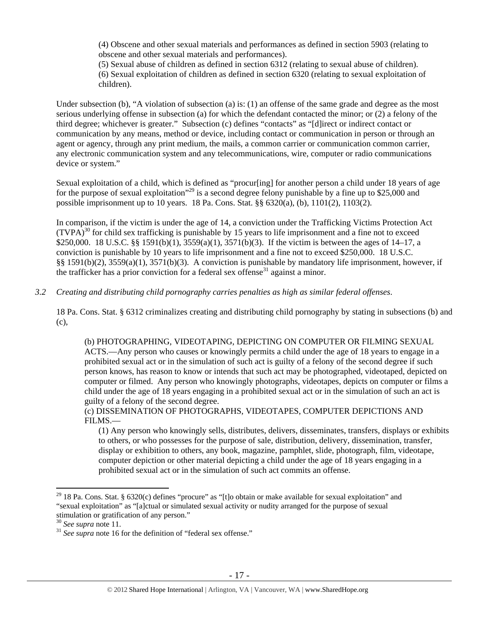(4) Obscene and other sexual materials and performances as defined in section 5903 (relating to obscene and other sexual materials and performances).

(5) Sexual abuse of children as defined in section 6312 (relating to sexual abuse of children). (6) Sexual exploitation of children as defined in section 6320 (relating to sexual exploitation of children).

Under subsection (b), "A violation of subsection (a) is: (1) an offense of the same grade and degree as the most serious underlying offense in subsection (a) for which the defendant contacted the minor; or (2) a felony of the third degree; whichever is greater." Subsection (c) defines "contacts" as "[d]irect or indirect contact or communication by any means, method or device, including contact or communication in person or through an agent or agency, through any print medium, the mails, a common carrier or communication common carrier, any electronic communication system and any telecommunications, wire, computer or radio communications device or system."

Sexual exploitation of a child, which is defined as "procur[ing] for another person a child under 18 years of age for the purpose of sexual exploitation"<sup>29</sup> is a second degree felony punishable by a fine up to \$25,000 and possible imprisonment up to 10 years. 18 Pa. Cons. Stat. §§ 6320(a), (b), 1101(2), 1103(2).

In comparison, if the victim is under the age of 14, a conviction under the Trafficking Victims Protection Act  $(TVPA)^{30}$  for child sex trafficking is punishable by 15 years to life imprisonment and a fine not to exceed \$250,000. 18 U.S.C. §§ 1591(b)(1), 3559(a)(1), 3571(b)(3). If the victim is between the ages of 14–17, a conviction is punishable by 10 years to life imprisonment and a fine not to exceed \$250,000. 18 U.S.C. §§ 1591(b)(2), 3559(a)(1), 3571(b)(3). A conviction is punishable by mandatory life imprisonment, however, if the trafficker has a prior conviction for a federal sex offense<sup>31</sup> against a minor.

*3.2 Creating and distributing child pornography carries penalties as high as similar federal offenses*.

18 Pa. Cons. Stat. § 6312 criminalizes creating and distributing child pornography by stating in subsections (b) and (c),

(b) PHOTOGRAPHING, VIDEOTAPING, DEPICTING ON COMPUTER OR FILMING SEXUAL ACTS.—Any person who causes or knowingly permits a child under the age of 18 years to engage in a prohibited sexual act or in the simulation of such act is guilty of a felony of the second degree if such person knows, has reason to know or intends that such act may be photographed, videotaped, depicted on computer or filmed. Any person who knowingly photographs, videotapes, depicts on computer or films a child under the age of 18 years engaging in a prohibited sexual act or in the simulation of such an act is guilty of a felony of the second degree.

(c) DISSEMINATION OF PHOTOGRAPHS, VIDEOTAPES, COMPUTER DEPICTIONS AND FILMS.—

(1) Any person who knowingly sells, distributes, delivers, disseminates, transfers, displays or exhibits to others, or who possesses for the purpose of sale, distribution, delivery, dissemination, transfer, display or exhibition to others, any book, magazine, pamphlet, slide, photograph, film, videotape, computer depiction or other material depicting a child under the age of 18 years engaging in a prohibited sexual act or in the simulation of such act commits an offense.

<sup>&</sup>lt;sup>29</sup> 18 Pa. Cons. Stat. § 6320(c) defines "procure" as "[t]o obtain or make available for sexual exploitation" and "sexual exploitation" as "[a]ctual or simulated sexual activity or nudity arranged for the purpose of sexual stimulation or gratification of any person."<br> $\frac{30 \text{ } \text{See } \text{supra}}$  note 11.

 $\frac{31}{1}$  *See supra* note 16 for the definition of "federal sex offense."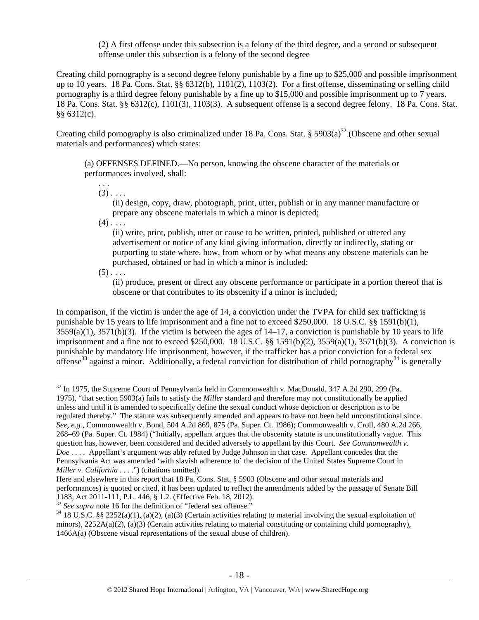(2) A first offense under this subsection is a felony of the third degree, and a second or subsequent offense under this subsection is a felony of the second degree

Creating child pornography is a second degree felony punishable by a fine up to \$25,000 and possible imprisonment up to 10 years. 18 Pa. Cons. Stat. §§ 6312(b), 1101(2), 1103(2). For a first offense, disseminating or selling child pornography is a third degree felony punishable by a fine up to \$15,000 and possible imprisonment up to 7 years. 18 Pa. Cons. Stat. §§ 6312(c), 1101(3), 1103(3). A subsequent offense is a second degree felony. 18 Pa. Cons. Stat. §§ 6312(c).

Creating child pornography is also criminalized under 18 Pa. Cons. Stat. §  $5903(a)^{32}$  (Obscene and other sexual materials and performances) which states:

(a) OFFENSES DEFINED.—No person, knowing the obscene character of the materials or performances involved, shall:

. . .  $(3)$ ....

> (ii) design, copy, draw, photograph, print, utter, publish or in any manner manufacture or prepare any obscene materials in which a minor is depicted;

 $(4)$ ...

(ii) write, print, publish, utter or cause to be written, printed, published or uttered any advertisement or notice of any kind giving information, directly or indirectly, stating or purporting to state where, how, from whom or by what means any obscene materials can be purchased, obtained or had in which a minor is included;

 $(5)$ ...

 $\overline{a}$ 

(ii) produce, present or direct any obscene performance or participate in a portion thereof that is obscene or that contributes to its obscenity if a minor is included;

In comparison, if the victim is under the age of 14, a conviction under the TVPA for child sex trafficking is punishable by 15 years to life imprisonment and a fine not to exceed \$250,000. 18 U.S.C. §§ 1591(b)(1), 3559(a)(1), 3571(b)(3). If the victim is between the ages of 14–17, a conviction is punishable by 10 years to life imprisonment and a fine not to exceed \$250,000. 18 U.S.C.  $\S$  1591(b)(2), 3559(a)(1), 3571(b)(3). A conviction is punishable by mandatory life imprisonment, however, if the trafficker has a prior conviction for a federal sex offense<sup>33</sup> against a minor. Additionally, a federal conviction for distribution of child pornography<sup>34</sup> is generally

<sup>32</sup> In 1975, the Supreme Court of Pennsylvania held in Commonwealth v. MacDonald, 347 A.2d 290, 299 (Pa. 1975), "that section 5903(a) fails to satisfy the *Miller* standard and therefore may not constitutionally be applied unless and until it is amended to specifically define the sexual conduct whose depiction or description is to be regulated thereby." The statute was subsequently amended and appears to have not been held unconstitutional since. *See, e.g.*, Commonwealth v. Bond, 504 A.2d 869, 875 (Pa. Super. Ct. 1986); Commonwealth v. Croll, 480 A.2d 266, 268–69 (Pa. Super. Ct. 1984) ("Initially, appellant argues that the obscenity statute is unconstitutionally vague. This question has, however, been considered and decided adversely to appellant by this Court. *See Commonwealth v. Doe* . . . . Appellant's argument was ably refuted by Judge Johnson in that case. Appellant concedes that the Pennsylvania Act was amended 'with slavish adherence to' the decision of the United States Supreme Court in *Miller v. California* . . . .") (citations omitted).

Here and elsewhere in this report that 18 Pa. Cons. Stat. § 5903 (Obscene and other sexual materials and performances) is quoted or cited, it has been updated to reflect the amendments added by the passage of Senate Bill 1183, Act 2011-111, P.L. 446, § 1.2. (Effective Feb. 18, 2012).<br><sup>33</sup> See supra note 16 for the definition of "federal sex offense."

<sup>&</sup>lt;sup>34</sup> 18 U.S.C. §§ 2252(a)(1), (a)(2), (a)(3) (Certain activities relating to material involving the sexual exploitation of minors),  $2252A(a)(2)$ , (a)(3) (Certain activities relating to material constituting or containing child pornography), 1466A(a) (Obscene visual representations of the sexual abuse of children).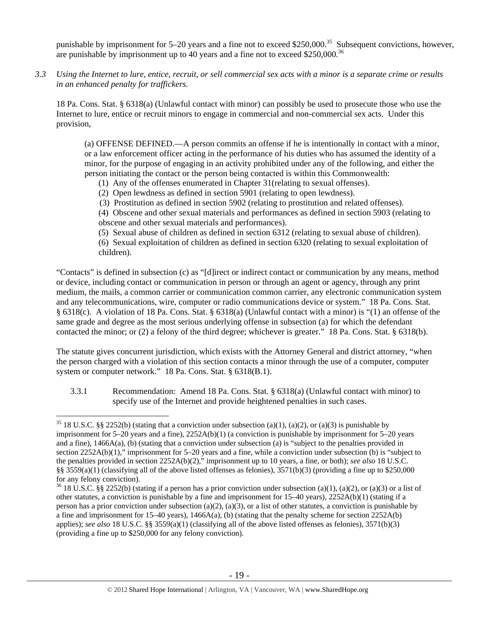punishable by imprisonment for  $5-20$  years and a fine not to exceed \$250,000.<sup>35</sup> Subsequent convictions, however, are punishable by imprisonment up to 40 years and a fine not to exceed  $$250,000.<sup>36</sup>$ 

*3.3 Using the Internet to lure, entice, recruit, or sell commercial sex acts with a minor is a separate crime or results in an enhanced penalty for traffickers.* 

18 Pa. Cons. Stat. § 6318(a) (Unlawful contact with minor) can possibly be used to prosecute those who use the Internet to lure, entice or recruit minors to engage in commercial and non-commercial sex acts. Under this provision,

(a) OFFENSE DEFINED.—A person commits an offense if he is intentionally in contact with a minor, or a law enforcement officer acting in the performance of his duties who has assumed the identity of a minor, for the purpose of engaging in an activity prohibited under any of the following, and either the person initiating the contact or the person being contacted is within this Commonwealth:

- (1) Any of the offenses enumerated in Chapter 31(relating to sexual offenses).
- (2) Open lewdness as defined in section 5901 (relating to open lewdness).
- (3) Prostitution as defined in section 5902 (relating to prostitution and related offenses).

(4) Obscene and other sexual materials and performances as defined in section 5903 (relating to obscene and other sexual materials and performances).

(5) Sexual abuse of children as defined in section 6312 (relating to sexual abuse of children).

(6) Sexual exploitation of children as defined in section 6320 (relating to sexual exploitation of children).

"Contacts" is defined in subsection (c) as "[d]irect or indirect contact or communication by any means, method or device, including contact or communication in person or through an agent or agency, through any print medium, the mails, a common carrier or communication common carrier, any electronic communication system and any telecommunications, wire, computer or radio communications device or system." 18 Pa. Cons. Stat. § 6318(c). A violation of 18 Pa. Cons. Stat. § 6318(a) (Unlawful contact with a minor) is "(1) an offense of the same grade and degree as the most serious underlying offense in subsection (a) for which the defendant contacted the minor; or (2) a felony of the third degree; whichever is greater." 18 Pa. Cons. Stat. § 6318(b).

The statute gives concurrent jurisdiction, which exists with the Attorney General and district attorney, "when the person charged with a violation of this section contacts a minor through the use of a computer, computer system or computer network." 18 Pa. Cons. Stat. § 6318(B.1).

3.3.1 Recommendation: Amend 18 Pa. Cons. Stat. § 6318(a) (Unlawful contact with minor) to specify use of the Internet and provide heightened penalties in such cases.

<sup>&</sup>lt;sup>35</sup> 18 U.S.C. §§ 2252(b) (stating that a conviction under subsection (a)(1), (a)(2), or (a)(3) is punishable by imprisonment for 5–20 years and a fine), 2252A(b)(1) (a conviction is punishable by imprisonment for 5–20 years and a fine), 1466A(a), (b) (stating that a conviction under subsection (a) is "subject to the penalties provided in section 2252A(b)(1)," imprisonment for 5–20 years and a fine, while a conviction under subsection (b) is "subject to the penalties provided in section 2252A(b)(2)," imprisonment up to 10 years, a fine, or both); *see also* 18 U.S.C. §§ 3559(a)(1) (classifying all of the above listed offenses as felonies),  $3571(b)(3)$  (providing a fine up to \$250,000 for any felony conviction).

<sup>&</sup>lt;sup>36</sup> 18 U.S.C. §§ 2252(b) (stating if a person has a prior conviction under subsection (a)(1), (a)(2), or (a)(3) or a list of other statutes, a conviction is punishable by a fine and imprisonment for  $15-40$  years),  $2252A(b)(1)$  (stating if a person has a prior conviction under subsection (a)(2), (a)(3), or a list of other statutes, a conviction is punishable by a fine and imprisonment for  $15-40$  years),  $1466A(a)$ , (b) (stating that the penalty scheme for section  $2252A(b)$ applies); *see also* 18 U.S.C. §§ 3559(a)(1) (classifying all of the above listed offenses as felonies), 3571(b)(3) (providing a fine up to \$250,000 for any felony conviction).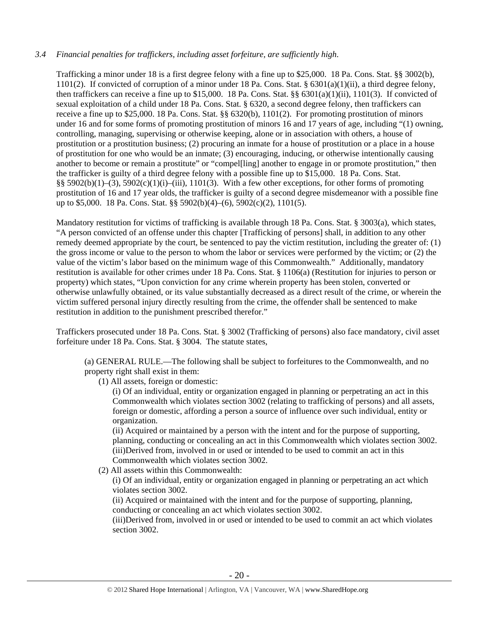## *3.4 Financial penalties for traffickers, including asset forfeiture, are sufficiently high*.

Trafficking a minor under 18 is a first degree felony with a fine up to \$25,000. 18 Pa. Cons. Stat. §§ 3002(b), 1101(2). If convicted of corruption of a minor under 18 Pa. Cons. Stat. §  $6301(a)(1)(ii)$ , a third degree felony, then traffickers can receive a fine up to \$15,000. 18 Pa. Cons. Stat. §§  $6301(a)(1)(ii)$ ,  $1101(3)$ . If convicted of sexual exploitation of a child under 18 Pa. Cons. Stat. § 6320, a second degree felony, then traffickers can receive a fine up to \$25,000. 18 Pa. Cons. Stat. §§ 6320(b), 1101(2). For promoting prostitution of minors under 16 and for some forms of promoting prostitution of minors 16 and 17 years of age, including "(1) owning, controlling, managing, supervising or otherwise keeping, alone or in association with others, a house of prostitution or a prostitution business; (2) procuring an inmate for a house of prostitution or a place in a house of prostitution for one who would be an inmate; (3) encouraging, inducing, or otherwise intentionally causing another to become or remain a prostitute" or "compel[ling] another to engage in or promote prostitution," then the trafficker is guilty of a third degree felony with a possible fine up to \$15,000. 18 Pa. Cons. Stat. §§ 5902(b)(1)–(3), 5902(c)(1)(i)–(iii), 1101(3). With a few other exceptions, for other forms of promoting prostitution of 16 and 17 year olds, the trafficker is guilty of a second degree misdemeanor with a possible fine up to \$5,000. 18 Pa. Cons. Stat. §§ 5902(b)(4)–(6), 5902(c)(2), 1101(5).

Mandatory restitution for victims of trafficking is available through 18 Pa. Cons. Stat. § 3003(a), which states, "A person convicted of an offense under this chapter [Trafficking of persons] shall, in addition to any other remedy deemed appropriate by the court, be sentenced to pay the victim restitution, including the greater of: (1) the gross income or value to the person to whom the labor or services were performed by the victim; or (2) the value of the victim's labor based on the minimum wage of this Commonwealth." Additionally, mandatory restitution is available for other crimes under 18 Pa. Cons. Stat. § 1106(a) (Restitution for injuries to person or property) which states, "Upon conviction for any crime wherein property has been stolen, converted or otherwise unlawfully obtained, or its value substantially decreased as a direct result of the crime, or wherein the victim suffered personal injury directly resulting from the crime, the offender shall be sentenced to make restitution in addition to the punishment prescribed therefor."

Traffickers prosecuted under 18 Pa. Cons. Stat. § 3002 (Trafficking of persons) also face mandatory, civil asset forfeiture under 18 Pa. Cons. Stat. § 3004. The statute states,

(a) GENERAL RULE.—The following shall be subject to forfeitures to the Commonwealth, and no property right shall exist in them:

(1) All assets, foreign or domestic:

(i) Of an individual, entity or organization engaged in planning or perpetrating an act in this Commonwealth which violates section 3002 (relating to trafficking of persons) and all assets, foreign or domestic, affording a person a source of influence over such individual, entity or organization.

(ii) Acquired or maintained by a person with the intent and for the purpose of supporting, planning, conducting or concealing an act in this Commonwealth which violates section 3002. (iii)Derived from, involved in or used or intended to be used to commit an act in this Commonwealth which violates section 3002.

(2) All assets within this Commonwealth:

(i) Of an individual, entity or organization engaged in planning or perpetrating an act which violates section 3002.

(ii) Acquired or maintained with the intent and for the purpose of supporting, planning, conducting or concealing an act which violates section 3002.

(iii)Derived from, involved in or used or intended to be used to commit an act which violates section 3002.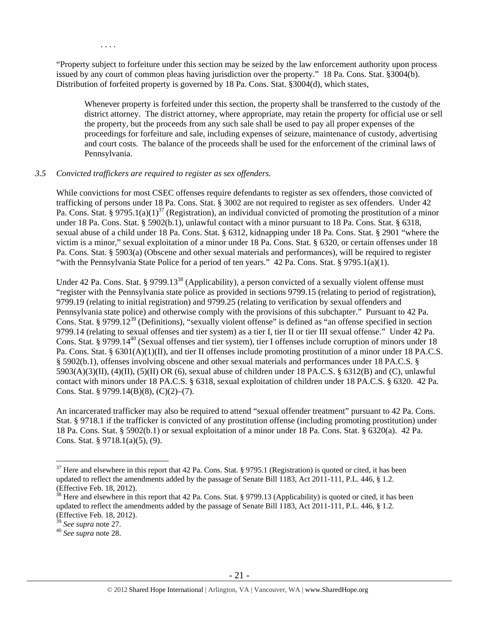. . . .

"Property subject to forfeiture under this section may be seized by the law enforcement authority upon process issued by any court of common pleas having jurisdiction over the property." 18 Pa. Cons. Stat. §3004(b). Distribution of forfeited property is governed by 18 Pa. Cons. Stat. §3004(d), which states,

Whenever property is forfeited under this section, the property shall be transferred to the custody of the district attorney. The district attorney, where appropriate, may retain the property for official use or sell the property, but the proceeds from any such sale shall be used to pay all proper expenses of the proceedings for forfeiture and sale, including expenses of seizure, maintenance of custody, advertising and court costs. The balance of the proceeds shall be used for the enforcement of the criminal laws of Pennsylvania.

## *3.5 Convicted traffickers are required to register as sex offenders.*

While convictions for most CSEC offenses require defendants to register as sex offenders, those convicted of trafficking of persons under 18 Pa. Cons. Stat. § 3002 are not required to register as sex offenders. Under 42 Pa. Cons. Stat. § 9795.1(a)(1)<sup>37</sup> (Registration), an individual convicted of promoting the prostitution of a minor under 18 Pa. Cons. Stat. § 5902(b.1), unlawful contact with a minor pursuant to 18 Pa. Cons. Stat. § 6318, sexual abuse of a child under 18 Pa. Cons. Stat. § 6312, kidnapping under 18 Pa. Cons. Stat. § 2901 "where the victim is a minor," sexual exploitation of a minor under 18 Pa. Cons. Stat. § 6320, or certain offenses under 18 Pa. Cons. Stat. § 5903(a) (Obscene and other sexual materials and performances), will be required to register "with the Pennsylvania State Police for a period of ten years." 42 Pa. Cons. Stat. § 9795.1(a)(1).

Under 42 Pa. Cons. Stat. § 9799.13<sup>38</sup> (Applicability), a person convicted of a sexually violent offense must "register with the Pennsylvania state police as provided in sections 9799.15 (relating to period of registration), 9799.19 (relating to initial registration) and 9799.25 (relating to verification by sexual offenders and Pennsylvania state police) and otherwise comply with the provisions of this subchapter." Pursuant to 42 Pa. Cons. Stat. § 9799.12<sup>39</sup> (Definitions), "sexually violent offense" is defined as "an offense specified in section 9799.14 (relating to sexual offenses and tier system) as a tier I, tier II or tier III sexual offense." Under 42 Pa. Cons. Stat. § 9799.14<sup>40</sup> (Sexual offenses and tier system), tier I offenses include corruption of minors under 18 Pa. Cons. Stat. § 6301(A)(1)(II), and tier II offenses include promoting prostitution of a minor under 18 PA.C.S. § 5902(b.1), offenses involving obscene and other sexual materials and performances under 18 PA.C.S. §  $5903(A)(3)(II)$ ,  $(4)(II)$ ,  $(5)(II)$  OR  $(6)$ , sexual abuse of children under 18 PA.C.S. § 6312(B) and (C), unlawful contact with minors under 18 PA.C.S. § 6318, sexual exploitation of children under 18 PA.C.S. § 6320. 42 Pa. Cons. Stat. § 9799.14(B)(8), (C)(2)–(7).

An incarcerated trafficker may also be required to attend "sexual offender treatment" pursuant to 42 Pa. Cons. Stat. § 9718.1 if the trafficker is convicted of any prostitution offense (including promoting prostitution) under 18 Pa. Cons. Stat. § 5902(b.1) or sexual exploitation of a minor under 18 Pa. Cons. Stat. § 6320(a). 42 Pa. Cons. Stat. § 9718.1(a)(5), (9).

 $37$  Here and elsewhere in this report that 42 Pa. Cons. Stat. § 9795.1 (Registration) is quoted or cited, it has been updated to reflect the amendments added by the passage of Senate Bill 1183, Act 2011-111, P.L. 446, § 1.2. (Effective Feb. 18, 2012).

<sup>&</sup>lt;sup>38</sup> Here and elsewhere in this report that 42 Pa. Cons. Stat. § 9799.13 (Applicability) is quoted or cited, it has been updated to reflect the amendments added by the passage of Senate Bill 1183, Act 2011-111, P.L. 446, § 1.2. (Effective Feb. 18, 2012).<br> $39$  See supra note 27.

<sup>39</sup> *See supra* note 27. 40 *See supra* note 28.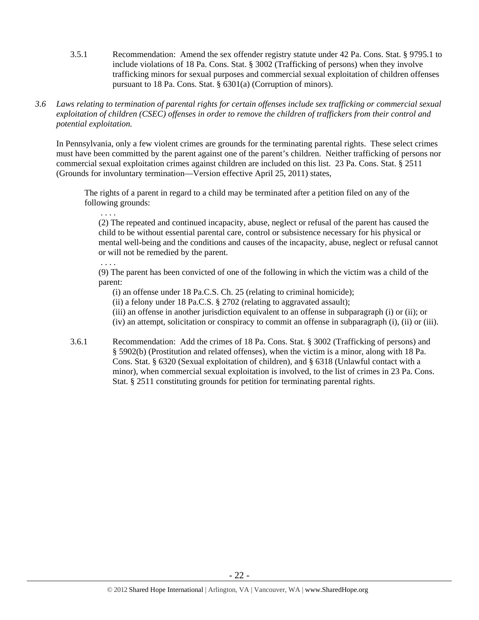- 3.5.1 Recommendation: Amend the sex offender registry statute under 42 Pa. Cons. Stat. § 9795.1 to include violations of 18 Pa. Cons. Stat. § 3002 (Trafficking of persons) when they involve trafficking minors for sexual purposes and commercial sexual exploitation of children offenses pursuant to 18 Pa. Cons. Stat. § 6301(a) (Corruption of minors).
- *3.6 Laws relating to termination of parental rights for certain offenses include sex trafficking or commercial sexual exploitation of children (CSEC) offenses in order to remove the children of traffickers from their control and potential exploitation.*

In Pennsylvania, only a few violent crimes are grounds for the terminating parental rights. These select crimes must have been committed by the parent against one of the parent's children. Neither trafficking of persons nor commercial sexual exploitation crimes against children are included on this list. 23 Pa. Cons. Stat. § 2511 (Grounds for involuntary termination—Version effective April 25, 2011) states,

The rights of a parent in regard to a child may be terminated after a petition filed on any of the following grounds:

(2) The repeated and continued incapacity, abuse, neglect or refusal of the parent has caused the child to be without essential parental care, control or subsistence necessary for his physical or mental well-being and the conditions and causes of the incapacity, abuse, neglect or refusal cannot or will not be remedied by the parent.

## . . . .

. . . .

(9) The parent has been convicted of one of the following in which the victim was a child of the parent:

(i) an offense under 18 Pa.C.S. Ch. 25 (relating to criminal homicide);

(ii) a felony under 18 Pa.C.S. § 2702 (relating to aggravated assault);

(iii) an offense in another jurisdiction equivalent to an offense in subparagraph (i) or (ii); or

(iv) an attempt, solicitation or conspiracy to commit an offense in subparagraph (i), (ii) or (iii).

3.6.1 Recommendation: Add the crimes of 18 Pa. Cons. Stat. § 3002 (Trafficking of persons) and § 5902(b) (Prostitution and related offenses), when the victim is a minor, along with 18 Pa. Cons. Stat. § 6320 (Sexual exploitation of children), and § 6318 (Unlawful contact with a minor), when commercial sexual exploitation is involved, to the list of crimes in 23 Pa. Cons. Stat. § 2511 constituting grounds for petition for terminating parental rights.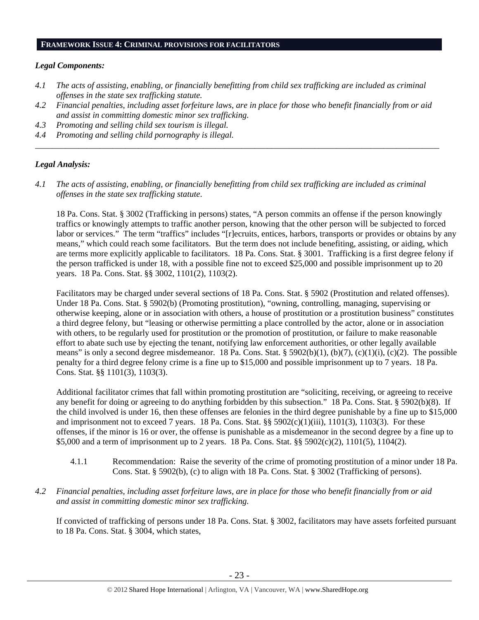#### **FRAMEWORK ISSUE 4: CRIMINAL PROVISIONS FOR FACILITATORS**

#### *Legal Components:*

- *4.1 The acts of assisting, enabling, or financially benefitting from child sex trafficking are included as criminal offenses in the state sex trafficking statute.*
- *4.2 Financial penalties, including asset forfeiture laws, are in place for those who benefit financially from or aid and assist in committing domestic minor sex trafficking.*

*\_\_\_\_\_\_\_\_\_\_\_\_\_\_\_\_\_\_\_\_\_\_\_\_\_\_\_\_\_\_\_\_\_\_\_\_\_\_\_\_\_\_\_\_\_\_\_\_\_\_\_\_\_\_\_\_\_\_\_\_\_\_\_\_\_\_\_\_\_\_\_\_\_\_\_\_\_\_\_\_\_\_\_\_\_\_\_\_\_\_\_\_\_\_* 

- *4.3 Promoting and selling child sex tourism is illegal.*
- *4.4 Promoting and selling child pornography is illegal.*

#### *Legal Analysis:*

*4.1 The acts of assisting, enabling, or financially benefitting from child sex trafficking are included as criminal offenses in the state sex trafficking statute*.

18 Pa. Cons. Stat. § 3002 (Trafficking in persons) states, "A person commits an offense if the person knowingly traffics or knowingly attempts to traffic another person, knowing that the other person will be subjected to forced labor or services." The term "traffics" includes "[r]ecruits, entices, harbors, transports or provides or obtains by any means," which could reach some facilitators. But the term does not include benefiting, assisting, or aiding, which are terms more explicitly applicable to facilitators. 18 Pa. Cons. Stat. § 3001. Trafficking is a first degree felony if the person trafficked is under 18, with a possible fine not to exceed \$25,000 and possible imprisonment up to 20 years. 18 Pa. Cons. Stat. §§ 3002, 1101(2), 1103(2).

Facilitators may be charged under several sections of 18 Pa. Cons. Stat. § 5902 (Prostitution and related offenses). Under 18 Pa. Cons. Stat. § 5902(b) (Promoting prostitution), "owning, controlling, managing, supervising or otherwise keeping, alone or in association with others, a house of prostitution or a prostitution business" constitutes a third degree felony, but "leasing or otherwise permitting a place controlled by the actor, alone or in association with others, to be regularly used for prostitution or the promotion of prostitution, or failure to make reasonable effort to abate such use by ejecting the tenant, notifying law enforcement authorities, or other legally available means" is only a second degree misdemeanor. 18 Pa. Cons. Stat. §  $5902(b)(1)$ ,  $(b)(7)$ ,  $(c)(1)(i)$ ,  $(c)(2)$ . The possible penalty for a third degree felony crime is a fine up to \$15,000 and possible imprisonment up to 7 years. 18 Pa. Cons. Stat. §§ 1101(3), 1103(3).

Additional facilitator crimes that fall within promoting prostitution are "soliciting, receiving, or agreeing to receive any benefit for doing or agreeing to do anything forbidden by this subsection." 18 Pa. Cons. Stat. § 5902(b)(8). If the child involved is under 16, then these offenses are felonies in the third degree punishable by a fine up to \$15,000 and imprisonment not to exceed 7 years. 18 Pa. Cons. Stat.  $\S$  5902(c)(1)(iii), 1101(3), 1103(3). For these offenses, if the minor is 16 or over, the offense is punishable as a misdemeanor in the second degree by a fine up to \$5,000 and a term of imprisonment up to 2 years. 18 Pa. Cons. Stat. §§ 5902(c)(2), 1101(5), 1104(2).

- 4.1.1 Recommendation: Raise the severity of the crime of promoting prostitution of a minor under 18 Pa. Cons. Stat. § 5902(b), (c) to align with 18 Pa. Cons. Stat. § 3002 (Trafficking of persons).
- *4.2 Financial penalties, including asset forfeiture laws, are in place for those who benefit financially from or aid and assist in committing domestic minor sex trafficking.*

If convicted of trafficking of persons under 18 Pa. Cons. Stat. § 3002, facilitators may have assets forfeited pursuant to 18 Pa. Cons. Stat. § 3004, which states,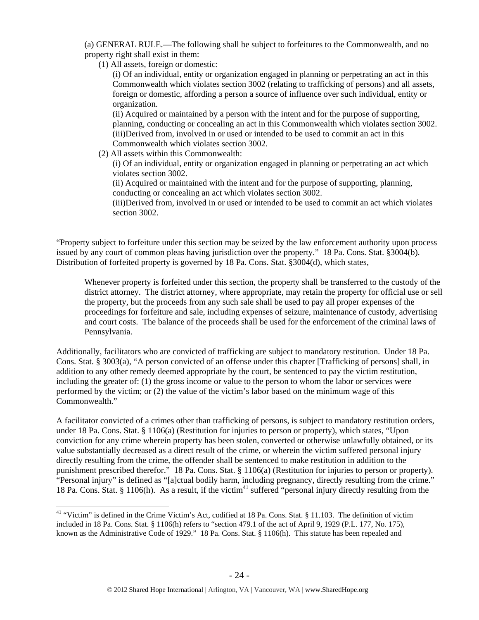(a) GENERAL RULE.—The following shall be subject to forfeitures to the Commonwealth, and no property right shall exist in them:

(1) All assets, foreign or domestic:

(i) Of an individual, entity or organization engaged in planning or perpetrating an act in this Commonwealth which violates section 3002 (relating to trafficking of persons) and all assets, foreign or domestic, affording a person a source of influence over such individual, entity or organization.

(ii) Acquired or maintained by a person with the intent and for the purpose of supporting, planning, conducting or concealing an act in this Commonwealth which violates section 3002. (iii)Derived from, involved in or used or intended to be used to commit an act in this Commonwealth which violates section 3002.

(2) All assets within this Commonwealth:

(i) Of an individual, entity or organization engaged in planning or perpetrating an act which violates section 3002.

(ii) Acquired or maintained with the intent and for the purpose of supporting, planning, conducting or concealing an act which violates section 3002.

(iii)Derived from, involved in or used or intended to be used to commit an act which violates section 3002.

"Property subject to forfeiture under this section may be seized by the law enforcement authority upon process issued by any court of common pleas having jurisdiction over the property." 18 Pa. Cons. Stat. §3004(b). Distribution of forfeited property is governed by 18 Pa. Cons. Stat. §3004(d), which states,

Whenever property is forfeited under this section, the property shall be transferred to the custody of the district attorney. The district attorney, where appropriate, may retain the property for official use or sell the property, but the proceeds from any such sale shall be used to pay all proper expenses of the proceedings for forfeiture and sale, including expenses of seizure, maintenance of custody, advertising and court costs. The balance of the proceeds shall be used for the enforcement of the criminal laws of Pennsylvania.

Additionally, facilitators who are convicted of trafficking are subject to mandatory restitution. Under 18 Pa. Cons. Stat. § 3003(a), "A person convicted of an offense under this chapter [Trafficking of persons] shall, in addition to any other remedy deemed appropriate by the court, be sentenced to pay the victim restitution, including the greater of: (1) the gross income or value to the person to whom the labor or services were performed by the victim; or (2) the value of the victim's labor based on the minimum wage of this Commonwealth."

A facilitator convicted of a crimes other than trafficking of persons, is subject to mandatory restitution orders, under 18 Pa. Cons. Stat. § 1106(a) (Restitution for injuries to person or property), which states, "Upon conviction for any crime wherein property has been stolen, converted or otherwise unlawfully obtained, or its value substantially decreased as a direct result of the crime, or wherein the victim suffered personal injury directly resulting from the crime, the offender shall be sentenced to make restitution in addition to the punishment prescribed therefor." 18 Pa. Cons. Stat. § 1106(a) (Restitution for injuries to person or property). "Personal injury" is defined as "[a]ctual bodily harm, including pregnancy, directly resulting from the crime." 18 Pa. Cons. Stat. § 1106(h). As a result, if the victim<sup>41</sup> suffered "personal injury directly resulting from the

<sup>&</sup>lt;sup>41</sup> "Victim" is defined in the Crime Victim's Act, codified at 18 Pa. Cons. Stat. § 11.103. The definition of victim included in 18 Pa. Cons. Stat. § 1106(h) refers to "section 479.1 of the act of April 9, 1929 (P.L. 177, No. 175), known as the Administrative Code of 1929." 18 Pa. Cons. Stat. § 1106(h). This statute has been repealed and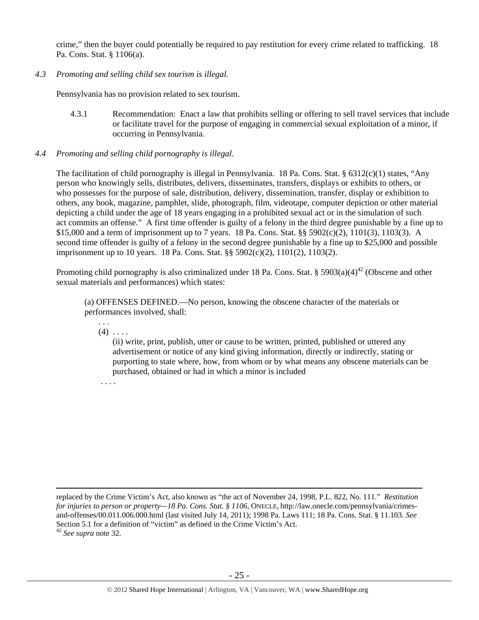crime," then the buyer could potentially be required to pay restitution for every crime related to trafficking. 18 Pa. Cons. Stat. § 1106(a).

*4.3 Promoting and selling child sex tourism is illegal*.

Pennsylvania has no provision related to sex tourism.

- 4.3.1 Recommendation: Enact a law that prohibits selling or offering to sell travel services that include or facilitate travel for the purpose of engaging in commercial sexual exploitation of a minor, if occurring in Pennsylvania.
- *4.4 Promoting and selling child pornography is illegal*.

The facilitation of child pornography is illegal in Pennsylvania. 18 Pa. Cons. Stat. § 6312(c)(1) states, "Any person who knowingly sells, distributes, delivers, disseminates, transfers, displays or exhibits to others, or who possesses for the purpose of sale, distribution, delivery, dissemination, transfer, display or exhibition to others, any book, magazine, pamphlet, slide, photograph, film, videotape, computer depiction or other material depicting a child under the age of 18 years engaging in a prohibited sexual act or in the simulation of such act commits an offense." A first time offender is guilty of a felony in the third degree punishable by a fine up to \$15,000 and a term of imprisonment up to 7 years. 18 Pa. Cons. Stat. §§ 5902(c)(2), 1101(3), 1103(3). A second time offender is guilty of a felony in the second degree punishable by a fine up to \$25,000 and possible imprisonment up to 10 years. 18 Pa. Cons. Stat. §§ 5902(c)(2), 1101(2), 1103(2).

Promoting child pornography is also criminalized under 18 Pa. Cons. Stat. §  $5903(a)(4)^{42}$  (Obscene and other sexual materials and performances) which states:

(a) OFFENSES DEFINED.—No person, knowing the obscene character of the materials or performances involved, shall:

. . .  $(4)$  ...

> (ii) write, print, publish, utter or cause to be written, printed, published or uttered any advertisement or notice of any kind giving information, directly or indirectly, stating or purporting to state where, how, from whom or by what means any obscene materials can be purchased, obtained or had in which a minor is included

. . . .

 replaced by the Crime Victim's Act, also known as "the act of November 24, 1998, P.L. 822, No. 111." *Restitution for injuries to person or property—18 Pa. Cons. Stat. § 1106*, ONECLE, http://law.onecle.com/pennsylvania/crimesand-offenses/00.011.006.000.html (last visited July 14, 2011); 1998 Pa. Laws 111; 18 Pa. Cons. Stat. § 11.103. *See* Section 5.1 for a definition of "victim" as defined in the Crime Victim's Act. <sup>42</sup> *See supra* note 32.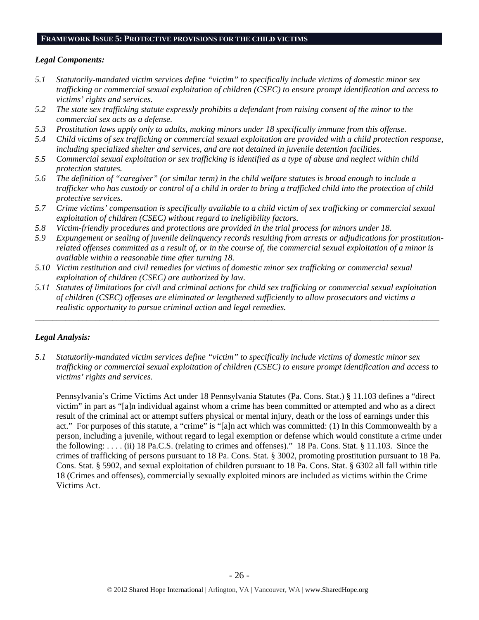## **FRAMEWORK ISSUE 5: PROTECTIVE PROVISIONS FOR THE CHILD VICTIMS**

## *Legal Components:*

- *5.1 Statutorily-mandated victim services define "victim" to specifically include victims of domestic minor sex trafficking or commercial sexual exploitation of children (CSEC) to ensure prompt identification and access to victims' rights and services.*
- *5.2 The state sex trafficking statute expressly prohibits a defendant from raising consent of the minor to the commercial sex acts as a defense.*
- *5.3 Prostitution laws apply only to adults, making minors under 18 specifically immune from this offense.*
- *5.4 Child victims of sex trafficking or commercial sexual exploitation are provided with a child protection response, including specialized shelter and services, and are not detained in juvenile detention facilities.*
- *5.5 Commercial sexual exploitation or sex trafficking is identified as a type of abuse and neglect within child protection statutes.*
- *5.6 The definition of "caregiver" (or similar term) in the child welfare statutes is broad enough to include a trafficker who has custody or control of a child in order to bring a trafficked child into the protection of child protective services.*
- *5.7 Crime victims' compensation is specifically available to a child victim of sex trafficking or commercial sexual exploitation of children (CSEC) without regard to ineligibility factors.*
- *5.8 Victim-friendly procedures and protections are provided in the trial process for minors under 18.*
- *5.9 Expungement or sealing of juvenile delinquency records resulting from arrests or adjudications for prostitutionrelated offenses committed as a result of, or in the course of, the commercial sexual exploitation of a minor is available within a reasonable time after turning 18.*
- *5.10 Victim restitution and civil remedies for victims of domestic minor sex trafficking or commercial sexual exploitation of children (CSEC) are authorized by law.*
- *5.11 Statutes of limitations for civil and criminal actions for child sex trafficking or commercial sexual exploitation of children (CSEC) offenses are eliminated or lengthened sufficiently to allow prosecutors and victims a realistic opportunity to pursue criminal action and legal remedies.*

*\_\_\_\_\_\_\_\_\_\_\_\_\_\_\_\_\_\_\_\_\_\_\_\_\_\_\_\_\_\_\_\_\_\_\_\_\_\_\_\_\_\_\_\_\_\_\_\_\_\_\_\_\_\_\_\_\_\_\_\_\_\_\_\_\_\_\_\_\_\_\_\_\_\_\_\_\_\_\_\_\_\_\_\_\_\_\_\_\_\_\_\_\_\_* 

## *Legal Analysis:*

*5.1 Statutorily-mandated victim services define "victim" to specifically include victims of domestic minor sex trafficking or commercial sexual exploitation of children (CSEC) to ensure prompt identification and access to victims' rights and services.* 

Pennsylvania's Crime Victims Act under 18 Pennsylvania Statutes (Pa. Cons. Stat.) § 11.103 defines a "direct victim" in part as "[a]n individual against whom a crime has been committed or attempted and who as a direct result of the criminal act or attempt suffers physical or mental injury, death or the loss of earnings under this act." For purposes of this statute, a "crime" is "[a]n act which was committed: (1) In this Commonwealth by a person, including a juvenile, without regard to legal exemption or defense which would constitute a crime under the following: . . . . (ii) 18 Pa.C.S. (relating to crimes and offenses)." 18 Pa. Cons. Stat. § 11.103. Since the crimes of trafficking of persons pursuant to 18 Pa. Cons. Stat. § 3002, promoting prostitution pursuant to 18 Pa. Cons. Stat. § 5902, and sexual exploitation of children pursuant to 18 Pa. Cons. Stat. § 6302 all fall within title 18 (Crimes and offenses), commercially sexually exploited minors are included as victims within the Crime Victims Act.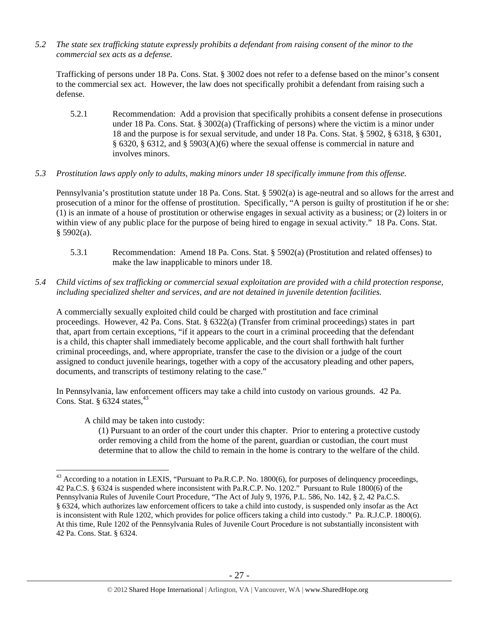*5.2 The state sex trafficking statute expressly prohibits a defendant from raising consent of the minor to the commercial sex acts as a defense.* 

Trafficking of persons under 18 Pa. Cons. Stat. § 3002 does not refer to a defense based on the minor's consent to the commercial sex act. However, the law does not specifically prohibit a defendant from raising such a defense.

- 5.2.1 Recommendation: Add a provision that specifically prohibits a consent defense in prosecutions under 18 Pa. Cons. Stat. § 3002(a) (Trafficking of persons) where the victim is a minor under 18 and the purpose is for sexual servitude, and under 18 Pa. Cons. Stat. § 5902, § 6318, § 6301, § 6320, § 6312, and § 5903(A)(6) where the sexual offense is commercial in nature and involves minors.
- *5.3 Prostitution laws apply only to adults, making minors under 18 specifically immune from this offense.*

Pennsylvania's prostitution statute under 18 Pa. Cons. Stat. § 5902(a) is age-neutral and so allows for the arrest and prosecution of a minor for the offense of prostitution. Specifically, "A person is guilty of prostitution if he or she: (1) is an inmate of a house of prostitution or otherwise engages in sexual activity as a business; or (2) loiters in or within view of any public place for the purpose of being hired to engage in sexual activity." 18 Pa. Cons. Stat.  $§$  5902(a).

- 5.3.1 Recommendation: Amend 18 Pa. Cons. Stat. § 5902(a) (Prostitution and related offenses) to make the law inapplicable to minors under 18.
- *5.4 Child victims of sex trafficking or commercial sexual exploitation are provided with a child protection response, including specialized shelter and services, and are not detained in juvenile detention facilities.*

A commercially sexually exploited child could be charged with prostitution and face criminal proceedings. However, 42 Pa. Cons. Stat. § 6322(a) (Transfer from criminal proceedings) states in part that, apart from certain exceptions, "if it appears to the court in a criminal proceeding that the defendant is a child, this chapter shall immediately become applicable, and the court shall forthwith halt further criminal proceedings, and, where appropriate, transfer the case to the division or a judge of the court assigned to conduct juvenile hearings, together with a copy of the accusatory pleading and other papers, documents, and transcripts of testimony relating to the case."

In Pennsylvania, law enforcement officers may take a child into custody on various grounds. 42 Pa. Cons. Stat.  $§$  6324 states,<sup>43</sup>

A child may be taken into custody:

(1) Pursuant to an order of the court under this chapter. Prior to entering a protective custody order removing a child from the home of the parent, guardian or custodian, the court must determine that to allow the child to remain in the home is contrary to the welfare of the child.

 $\overline{a}$ <sup>43</sup> According to a notation in LEXIS, "Pursuant to Pa.R.C.P. No. 1800(6), for purposes of delinquency proceedings, 42 Pa.C.S. § 6324 is suspended where inconsistent with Pa.R.C.P. No. 1202." Pursuant to Rule 1800(6) of the Pennsylvania Rules of Juvenile Court Procedure, "The Act of July 9, 1976, P.L. 586, No. 142, § 2, 42 Pa.C.S. § 6324, which authorizes law enforcement officers to take a child into custody, is suspended only insofar as the Act is inconsistent with Rule 1202, which provides for police officers taking a child into custody." Pa. R.J.C.P. 1800(6). At this time, Rule 1202 of the Pennsylvania Rules of Juvenile Court Procedure is not substantially inconsistent with 42 Pa. Cons. Stat. § 6324.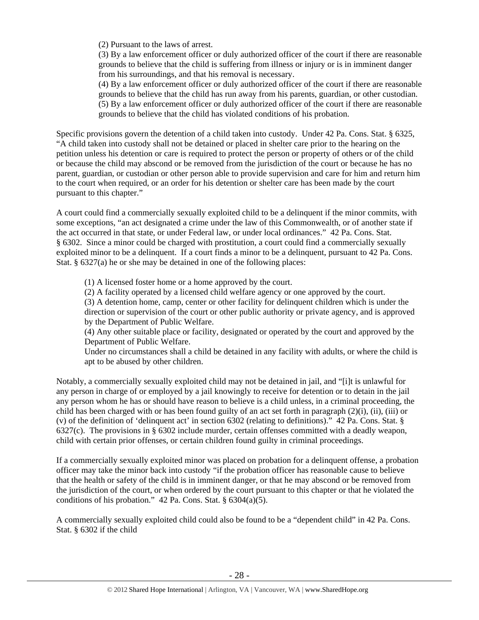(2) Pursuant to the laws of arrest.

(3) By a law enforcement officer or duly authorized officer of the court if there are reasonable grounds to believe that the child is suffering from illness or injury or is in imminent danger from his surroundings, and that his removal is necessary.

(4) By a law enforcement officer or duly authorized officer of the court if there are reasonable grounds to believe that the child has run away from his parents, guardian, or other custodian. (5) By a law enforcement officer or duly authorized officer of the court if there are reasonable grounds to believe that the child has violated conditions of his probation.

Specific provisions govern the detention of a child taken into custody. Under 42 Pa. Cons. Stat. § 6325, "A child taken into custody shall not be detained or placed in shelter care prior to the hearing on the petition unless his detention or care is required to protect the person or property of others or of the child or because the child may abscond or be removed from the jurisdiction of the court or because he has no parent, guardian, or custodian or other person able to provide supervision and care for him and return him to the court when required, or an order for his detention or shelter care has been made by the court pursuant to this chapter."

A court could find a commercially sexually exploited child to be a delinquent if the minor commits, with some exceptions, "an act designated a crime under the law of this Commonwealth, or of another state if the act occurred in that state, or under Federal law, or under local ordinances." 42 Pa. Cons. Stat. § 6302. Since a minor could be charged with prostitution, a court could find a commercially sexually exploited minor to be a delinquent. If a court finds a minor to be a delinquent, pursuant to 42 Pa. Cons. Stat. § 6327(a) he or she may be detained in one of the following places:

(1) A licensed foster home or a home approved by the court.

(2) A facility operated by a licensed child welfare agency or one approved by the court. (3) A detention home, camp, center or other facility for delinquent children which is under the direction or supervision of the court or other public authority or private agency, and is approved

by the Department of Public Welfare.

(4) Any other suitable place or facility, designated or operated by the court and approved by the Department of Public Welfare.

Under no circumstances shall a child be detained in any facility with adults, or where the child is apt to be abused by other children.

Notably, a commercially sexually exploited child may not be detained in jail, and "[i]t is unlawful for any person in charge of or employed by a jail knowingly to receive for detention or to detain in the jail any person whom he has or should have reason to believe is a child unless, in a criminal proceeding, the child has been charged with or has been found guilty of an act set forth in paragraph (2)(i), (ii), (iii) or (v) of the definition of 'delinquent act' in section 6302 (relating to definitions)." 42 Pa. Cons. Stat. § 6327(c). The provisions in § 6302 include murder, certain offenses committed with a deadly weapon, child with certain prior offenses, or certain children found guilty in criminal proceedings.

If a commercially sexually exploited minor was placed on probation for a delinquent offense, a probation officer may take the minor back into custody "if the probation officer has reasonable cause to believe that the health or safety of the child is in imminent danger, or that he may abscond or be removed from the jurisdiction of the court, or when ordered by the court pursuant to this chapter or that he violated the conditions of his probation."  $42$  Pa. Cons. Stat. §  $6304(a)(5)$ .

A commercially sexually exploited child could also be found to be a "dependent child" in 42 Pa. Cons. Stat. § 6302 if the child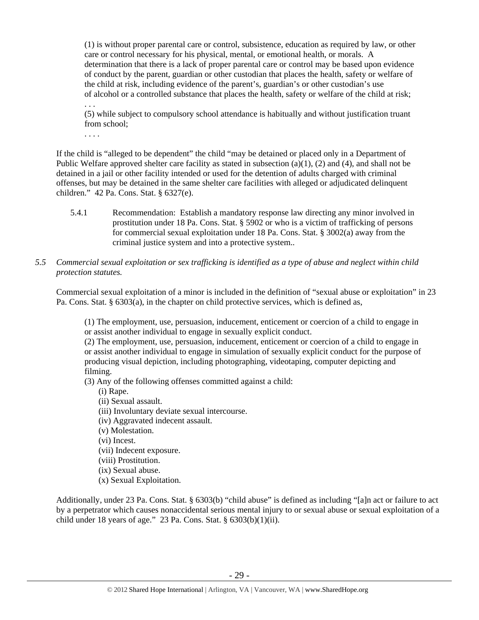(1) is without proper parental care or control, subsistence, education as required by law, or other care or control necessary for his physical, mental, or emotional health, or morals. A determination that there is a lack of proper parental care or control may be based upon evidence of conduct by the parent, guardian or other custodian that places the health, safety or welfare of the child at risk, including evidence of the parent's, guardian's or other custodian's use of alcohol or a controlled substance that places the health, safety or welfare of the child at risk;

(5) while subject to compulsory school attendance is habitually and without justification truant from school;

. . . .

. . .

If the child is "alleged to be dependent" the child "may be detained or placed only in a Department of Public Welfare approved shelter care facility as stated in subsection (a)(1), (2) and (4), and shall not be detained in a jail or other facility intended or used for the detention of adults charged with criminal offenses, but may be detained in the same shelter care facilities with alleged or adjudicated delinquent children." 42 Pa. Cons. Stat. § 6327(e).

- 5.4.1 Recommendation: Establish a mandatory response law directing any minor involved in prostitution under 18 Pa. Cons. Stat. § 5902 or who is a victim of trafficking of persons for commercial sexual exploitation under 18 Pa. Cons. Stat. § 3002(a) away from the criminal justice system and into a protective system..
- *5.5 Commercial sexual exploitation or sex trafficking is identified as a type of abuse and neglect within child protection statutes.*

Commercial sexual exploitation of a minor is included in the definition of "sexual abuse or exploitation" in 23 Pa. Cons. Stat. § 6303(a), in the chapter on child protective services, which is defined as,

(1) The employment, use, persuasion, inducement, enticement or coercion of a child to engage in or assist another individual to engage in sexually explicit conduct.

(2) The employment, use, persuasion, inducement, enticement or coercion of a child to engage in or assist another individual to engage in simulation of sexually explicit conduct for the purpose of producing visual depiction, including photographing, videotaping, computer depicting and filming.

(3) Any of the following offenses committed against a child:

(i) Rape.

- (ii) Sexual assault.
- (iii) Involuntary deviate sexual intercourse.
- (iv) Aggravated indecent assault.
- (v) Molestation.
- (vi) Incest.
- (vii) Indecent exposure.
- (viii) Prostitution.
- (ix) Sexual abuse.
- (x) Sexual Exploitation.

Additionally, under 23 Pa. Cons. Stat. § 6303(b) "child abuse" is defined as including "[a]n act or failure to act by a perpetrator which causes nonaccidental serious mental injury to or sexual abuse or sexual exploitation of a child under 18 years of age." 23 Pa. Cons. Stat. § 6303(b)(1)(ii).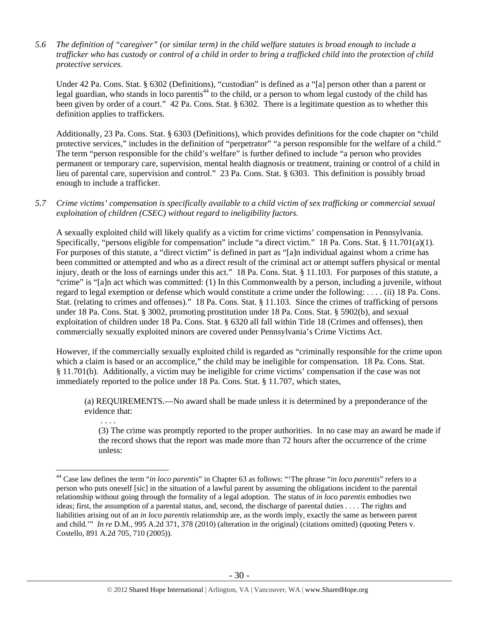*5.6 The definition of "caregiver" (or similar term) in the child welfare statutes is broad enough to include a trafficker who has custody or control of a child in order to bring a trafficked child into the protection of child protective services.* 

Under 42 Pa. Cons. Stat. § 6302 (Definitions), "custodian" is defined as a "[a] person other than a parent or legal guardian, who stands in loco parentis<sup>44</sup> to the child, or a person to whom legal custody of the child has been given by order of a court." 42 Pa. Cons. Stat. § 6302. There is a legitimate question as to whether this definition applies to traffickers.

Additionally, 23 Pa. Cons. Stat. § 6303 (Definitions), which provides definitions for the code chapter on "child protective services," includes in the definition of "perpetrator" "a person responsible for the welfare of a child." The term "person responsible for the child's welfare" is further defined to include "a person who provides permanent or temporary care, supervision, mental health diagnosis or treatment, training or control of a child in lieu of parental care, supervision and control." 23 Pa. Cons. Stat. § 6303. This definition is possibly broad enough to include a trafficker.

*5.7 Crime victims' compensation is specifically available to a child victim of sex trafficking or commercial sexual exploitation of children (CSEC) without regard to ineligibility factors.* 

A sexually exploited child will likely qualify as a victim for crime victims' compensation in Pennsylvania. Specifically, "persons eligible for compensation" include "a direct victim." 18 Pa. Cons. Stat. § 11.701(a)(1). For purposes of this statute, a "direct victim" is defined in part as "[a]n individual against whom a crime has been committed or attempted and who as a direct result of the criminal act or attempt suffers physical or mental injury, death or the loss of earnings under this act." 18 Pa. Cons. Stat. § 11.103. For purposes of this statute, a "crime" is "[a]n act which was committed: (1) In this Commonwealth by a person, including a juvenile, without regard to legal exemption or defense which would constitute a crime under the following: . . . . (ii) 18 Pa. Cons. Stat. (relating to crimes and offenses)." 18 Pa. Cons. Stat. § 11.103. Since the crimes of trafficking of persons under 18 Pa. Cons. Stat. § 3002, promoting prostitution under 18 Pa. Cons. Stat. § 5902(b), and sexual exploitation of children under 18 Pa. Cons. Stat. § 6320 all fall within Title 18 (Crimes and offenses), then commercially sexually exploited minors are covered under Pennsylvania's Crime Victims Act.

However, if the commercially sexually exploited child is regarded as "criminally responsible for the crime upon which a claim is based or an accomplice," the child may be ineligible for compensation. 18 Pa. Cons. Stat. § 11.701(b). Additionally, a victim may be ineligible for crime victims' compensation if the case was not immediately reported to the police under 18 Pa. Cons. Stat. § 11.707, which states,

(a) REQUIREMENTS.—No award shall be made unless it is determined by a preponderance of the evidence that:

 . . . . (3) The crime was promptly reported to the proper authorities. In no case may an award be made if the record shows that the report was made more than 72 hours after the occurrence of the crime unless:

<sup>44</sup> Case law defines the term "*in loco parentis*" in Chapter 63 as follows: "'The phrase "*in loco parentis*" refers to a person who puts oneself [sic] in the situation of a lawful parent by assuming the obligations incident to the parental relationship without going through the formality of a legal adoption. The status of *in loco parentis* embodies two ideas; first, the assumption of a parental status, and, second, the discharge of parental duties . . . . The rights and liabilities arising out of an *in loco parentis* relationship are, as the words imply, exactly the same as between parent and child.'" *In re* D.M.*,* 995 A.2d 371, 378 (2010) (alteration in the original) (citations omitted) (quoting Peters v. Costello*,* 891 A.2d 705, 710 (2005)).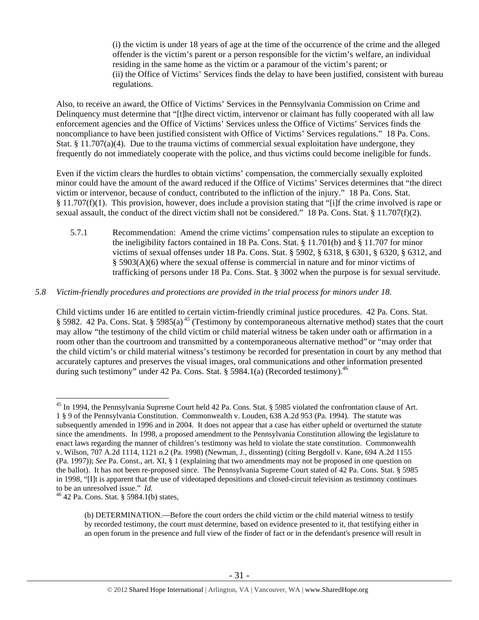(i) the victim is under 18 years of age at the time of the occurrence of the crime and the alleged offender is the victim's parent or a person responsible for the victim's welfare, an individual residing in the same home as the victim or a paramour of the victim's parent; or (ii) the Office of Victims' Services finds the delay to have been justified, consistent with bureau regulations.

Also, to receive an award, the Office of Victims' Services in the Pennsylvania Commission on Crime and Delinquency must determine that "[t]he direct victim, intervenor or claimant has fully cooperated with all law enforcement agencies and the Office of Victims' Services unless the Office of Victims' Services finds the noncompliance to have been justified consistent with Office of Victims' Services regulations." 18 Pa. Cons. Stat. § 11.707(a)(4). Due to the trauma victims of commercial sexual exploitation have undergone, they frequently do not immediately cooperate with the police, and thus victims could become ineligible for funds.

Even if the victim clears the hurdles to obtain victims' compensation, the commercially sexually exploited minor could have the amount of the award reduced if the Office of Victims' Services determines that "the direct victim or intervenor, because of conduct, contributed to the infliction of the injury." 18 Pa. Cons. Stat. § 11.707(f)(1). This provision, however, does include a provision stating that "[i]f the crime involved is rape or sexual assault, the conduct of the direct victim shall not be considered." 18 Pa. Cons. Stat. § 11.707(f)(2).

5.7.1 Recommendation: Amend the crime victims' compensation rules to stipulate an exception to the ineligibility factors contained in 18 Pa. Cons. Stat. § 11.701(b) and § 11.707 for minor victims of sexual offenses under 18 Pa. Cons. Stat. § 5902, § 6318, § 6301, § 6320, § 6312, and § 5903(A)(6) where the sexual offense is commercial in nature and for minor victims of trafficking of persons under 18 Pa. Cons. Stat. § 3002 when the purpose is for sexual servitude.

## *5.8 Victim-friendly procedures and protections are provided in the trial process for minors under 18.*

Child victims under 16 are entitled to certain victim-friendly criminal justice procedures. 42 Pa. Cons. Stat. § 5982. 42 Pa. Cons. Stat. § 5985(a)<sup>45</sup> (Testimony by contemporaneous alternative method) states that the court may allow "the testimony of the child victim or child material witness be taken under oath or affirmation in a room other than the courtroom and transmitted by a contemporaneous alternative method" or "may order that the child victim's or child material witness's testimony be recorded for presentation in court by any method that accurately captures and preserves the visual images, oral communications and other information presented during such testimony" under 42 Pa. Cons. Stat. § 5984.1(a) (Recorded testimony).<sup>46</sup>

<sup>&</sup>lt;sup>45</sup> In 1994, the Pennsylvania Supreme Court held 42 Pa. Cons. Stat. § 5985 violated the confrontation clause of Art. 1 § 9 of the Pennsylvania Constitution. Commonwealth v. Louden, 638 A.2d 953 (Pa. 1994). The statute was subsequently amended in 1996 and in 2004. It does not appear that a case has either upheld or overturned the statute since the amendments. In 1998, a proposed amendment to the Pennsylvania Constitution allowing the legislature to enact laws regarding the manner of children's testimony was held to violate the state constitution. Commonwealth v. Wilson, 707 A.2d 1114, 1121 n.2 (Pa. 1998) (Newman, J., dissenting) (citing Bergdoll v. Kane, 694 A.2d 1155 (Pa. 1997)); *See* Pa. Const., art. XI, § 1 (explaining that two amendments may not be proposed in one question on the ballot). It has not been re-proposed since. The Pennsylvania Supreme Court stated of 42 Pa. Cons. Stat. § 5985 in 1998, "[I]t is apparent that the use of videotaped depositions and closed-circuit television as testimony continues to be an unresolved issue." *Id.* <sup>46</sup> 42 Pa. Cons. Stat. § 5984.1(b) states,

<sup>(</sup>b) DETERMINATION.—Before the court orders the child victim or the child material witness to testify by recorded testimony, the court must determine, based on evidence presented to it, that testifying either in an open forum in the presence and full view of the finder of fact or in the defendant's presence will result in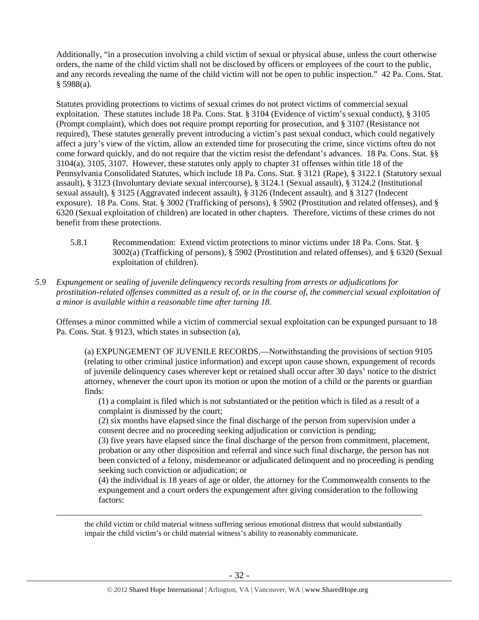Additionally, "in a prosecution involving a child victim of sexual or physical abuse, unless the court otherwise orders, the name of the child victim shall not be disclosed by officers or employees of the court to the public, and any records revealing the name of the child victim will not be open to public inspection." 42 Pa. Cons. Stat.  $§$  5988(a).

Statutes providing protections to victims of sexual crimes do not protect victims of commercial sexual exploitation. These statutes include 18 Pa. Cons. Stat. § 3104 (Evidence of victim's sexual conduct), § 3105 (Prompt complaint), which does not require prompt reporting for prosecution, and § 3107 (Resistance not required), These statutes generally prevent introducing a victim's past sexual conduct, which could negatively affect a jury's view of the victim, allow an extended time for prosecuting the crime, since victims often do not come forward quickly, and do not require that the victim resist the defendant's advances. 18 Pa. Cons. Stat. §§ 3104(a), 3105, 3107. However, these statutes only apply to chapter 31 offenses within title 18 of the Pennsylvania Consolidated Statutes, which include 18 Pa. Cons. Stat. § 3121 (Rape), § 3122.1 (Statutory sexual assault), § 3123 (Involuntary deviate sexual intercourse), § 3124.1 (Sexual assault), § 3124.2 (Institutional sexual assault), § 3125 (Aggravated indecent assault), § 3126 (Indecent assault), and § 3127 (Indecent exposure). 18 Pa. Cons. Stat. § 3002 (Trafficking of persons), § 5902 (Prostitution and related offenses), and § 6320 (Sexual exploitation of children) are located in other chapters. Therefore, victims of these crimes do not benefit from these protections.

- 5.8.1 Recommendation: Extend victim protections to minor victims under 18 Pa. Cons. Stat. § 3002(a) (Trafficking of persons), § 5902 (Prostitution and related offenses), and § 6320 (Sexual exploitation of children).
- *5.9 Expungement or sealing of juvenile delinquency records resulting from arrests or adjudications for prostitution-related offenses committed as a result of, or in the course of, the commercial sexual exploitation of a minor is available within a reasonable time after turning 18.*

Offenses a minor committed while a victim of commercial sexual exploitation can be expunged pursuant to 18 Pa. Cons. Stat. § 9123, which states in subsection (a),

(a) EXPUNGEMENT OF JUVENILE RECORDS.—Notwithstanding the provisions of section 9105 (relating to other criminal justice information) and except upon cause shown, expungement of records of juvenile delinquency cases wherever kept or retained shall occur after 30 days' notice to the district attorney, whenever the court upon its motion or upon the motion of a child or the parents or guardian finds:

(1) a complaint is filed which is not substantiated or the petition which is filed as a result of a complaint is dismissed by the court;

(2) six months have elapsed since the final discharge of the person from supervision under a consent decree and no proceeding seeking adjudication or conviction is pending;

(3) five years have elapsed since the final discharge of the person from commitment, placement, probation or any other disposition and referral and since such final discharge, the person has not been convicted of a felony, misdemeanor or adjudicated delinquent and no proceeding is pending seeking such conviction or adjudication; or

(4) the individual is 18 years of age or older, the attorney for the Commonwealth consents to the expungement and a court orders the expungement after giving consideration to the following factors:

 the child victim or child material witness suffering serious emotional distress that would substantially impair the child victim's or child material witness's ability to reasonably communicate.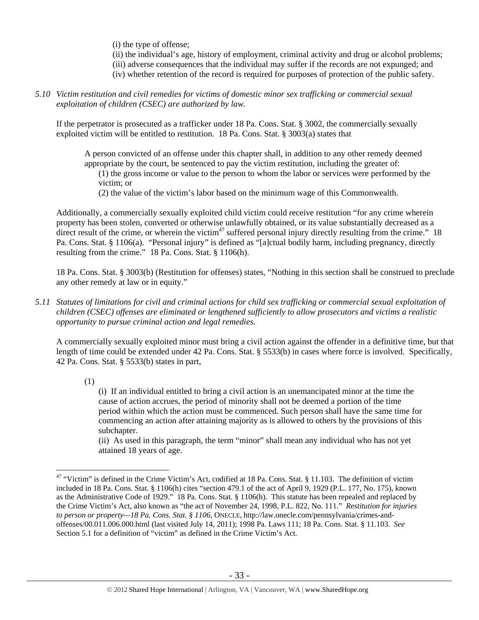(i) the type of offense;

(ii) the individual's age, history of employment, criminal activity and drug or alcohol problems;

- (iii) adverse consequences that the individual may suffer if the records are not expunged; and
- (iv) whether retention of the record is required for purposes of protection of the public safety.
- *5.10 Victim restitution and civil remedies for victims of domestic minor sex trafficking or commercial sexual exploitation of children (CSEC) are authorized by law.*

If the perpetrator is prosecuted as a trafficker under 18 Pa. Cons. Stat. § 3002, the commercially sexually exploited victim will be entitled to restitution. 18 Pa. Cons. Stat. § 3003(a) states that

A person convicted of an offense under this chapter shall, in addition to any other remedy deemed appropriate by the court, be sentenced to pay the victim restitution, including the greater of: (1) the gross income or value to the person to whom the labor or services were performed by the

victim; or

(2) the value of the victim's labor based on the minimum wage of this Commonwealth.

Additionally, a commercially sexually exploited child victim could receive restitution "for any crime wherein property has been stolen, converted or otherwise unlawfully obtained, or its value substantially decreased as a direct result of the crime, or wherein the victim<sup>47</sup> suffered personal injury directly resulting from the crime." 18 Pa. Cons. Stat. § 1106(a). "Personal injury" is defined as "[a]ctual bodily harm, including pregnancy, directly resulting from the crime." 18 Pa. Cons. Stat. § 1106(h).

18 Pa. Cons. Stat. § 3003(b) (Restitution for offenses) states, "Nothing in this section shall be construed to preclude any other remedy at law or in equity."

*5.11 Statutes of limitations for civil and criminal actions for child sex trafficking or commercial sexual exploitation of children (CSEC) offenses are eliminated or lengthened sufficiently to allow prosecutors and victims a realistic opportunity to pursue criminal action and legal remedies.* 

A commercially sexually exploited minor must bring a civil action against the offender in a definitive time, but that length of time could be extended under 42 Pa. Cons. Stat. § 5533(b) in cases where force is involved. Specifically, 42 Pa. Cons. Stat. § 5533(b) states in part,

(1)

 $\overline{a}$ 

(i) If an individual entitled to bring a civil action is an unemancipated minor at the time the cause of action accrues, the period of minority shall not be deemed a portion of the time period within which the action must be commenced. Such person shall have the same time for commencing an action after attaining majority as is allowed to others by the provisions of this subchapter.

(ii) As used in this paragraph, the term "minor" shall mean any individual who has not yet attained 18 years of age.

<sup>&</sup>lt;sup>47</sup> "Victim" is defined in the Crime Victim's Act, codified at 18 Pa. Cons. Stat. § 11.103. The definition of victim included in 18 Pa. Cons. Stat. § 1106(h) cites "section 479.1 of the act of April 9, 1929 (P.L. 177, No. 175), known as the Administrative Code of 1929." 18 Pa. Cons. Stat. § 1106(h). This statute has been repealed and replaced by the Crime Victim's Act, also known as "the act of November 24, 1998, P.L. 822, No. 111." *Restitution for injuries to person or property—18 Pa. Cons. Stat. § 1106*, ONECLE, http://law.onecle.com/pennsylvania/crimes-andoffenses/00.011.006.000.html (last visited July 14, 2011); 1998 Pa. Laws 111; 18 Pa. Cons. Stat. § 11.103. *See* Section 5.1 for a definition of "victim" as defined in the Crime Victim's Act.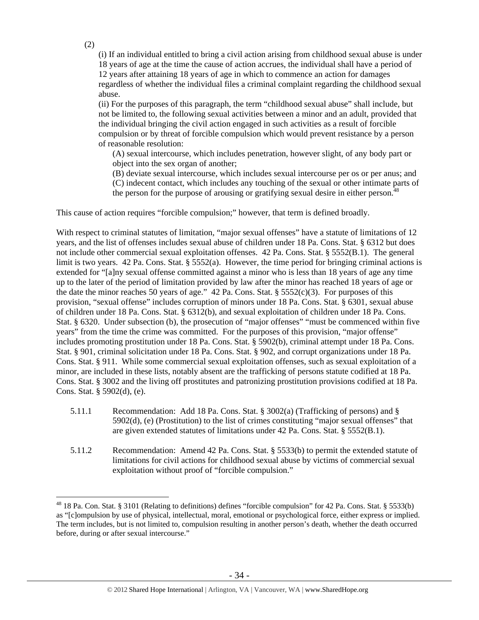(i) If an individual entitled to bring a civil action arising from childhood sexual abuse is under 18 years of age at the time the cause of action accrues, the individual shall have a period of 12 years after attaining 18 years of age in which to commence an action for damages regardless of whether the individual files a criminal complaint regarding the childhood sexual abuse.

(ii) For the purposes of this paragraph, the term "childhood sexual abuse" shall include, but not be limited to, the following sexual activities between a minor and an adult, provided that the individual bringing the civil action engaged in such activities as a result of forcible compulsion or by threat of forcible compulsion which would prevent resistance by a person of reasonable resolution:

(A) sexual intercourse, which includes penetration, however slight, of any body part or object into the sex organ of another;

(B) deviate sexual intercourse, which includes sexual intercourse per os or per anus; and (C) indecent contact, which includes any touching of the sexual or other intimate parts of the person for the purpose of arousing or gratifying sexual desire in either person.<sup>48</sup>

This cause of action requires "forcible compulsion;" however, that term is defined broadly.

With respect to criminal statutes of limitation, "major sexual offenses" have a statute of limitations of 12 years, and the list of offenses includes sexual abuse of children under 18 Pa. Cons. Stat. § 6312 but does not include other commercial sexual exploitation offenses. 42 Pa. Cons. Stat. § 5552(B.1). The general limit is two years. 42 Pa. Cons. Stat. § 5552(a). However, the time period for bringing criminal actions is extended for "[a]ny sexual offense committed against a minor who is less than 18 years of age any time up to the later of the period of limitation provided by law after the minor has reached 18 years of age or the date the minor reaches 50 years of age." 42 Pa. Cons. Stat.  $\S$  5552(c)(3). For purposes of this provision, "sexual offense" includes corruption of minors under 18 Pa. Cons. Stat. § 6301, sexual abuse of children under 18 Pa. Cons. Stat. § 6312(b), and sexual exploitation of children under 18 Pa. Cons. Stat. § 6320. Under subsection (b), the prosecution of "major offenses" "must be commenced within five years" from the time the crime was committed. For the purposes of this provision, "major offense" includes promoting prostitution under 18 Pa. Cons. Stat. § 5902(b), criminal attempt under 18 Pa. Cons. Stat. § 901, criminal solicitation under 18 Pa. Cons. Stat. § 902, and corrupt organizations under 18 Pa. Cons. Stat. § 911. While some commercial sexual exploitation offenses, such as sexual exploitation of a minor, are included in these lists, notably absent are the trafficking of persons statute codified at 18 Pa. Cons. Stat. § 3002 and the living off prostitutes and patronizing prostitution provisions codified at 18 Pa. Cons. Stat. § 5902(d), (e).

- 5.11.1 Recommendation: Add 18 Pa. Cons. Stat. § 3002(a) (Trafficking of persons) and § 5902(d), (e) (Prostitution) to the list of crimes constituting "major sexual offenses" that are given extended statutes of limitations under 42 Pa. Cons. Stat. § 5552(B.1).
- 5.11.2 Recommendation: Amend 42 Pa. Cons. Stat. § 5533(b) to permit the extended statute of limitations for civil actions for childhood sexual abuse by victims of commercial sexual exploitation without proof of "forcible compulsion."

(2)

<sup>&</sup>lt;sup>48</sup> 18 Pa. Con. Stat. § 3101 (Relating to definitions) defines "forcible compulsion" for 42 Pa. Cons. Stat. § 5533(b) as "[c]ompulsion by use of physical, intellectual, moral, emotional or psychological force, either express or implied. The term includes, but is not limited to, compulsion resulting in another person's death, whether the death occurred before, during or after sexual intercourse."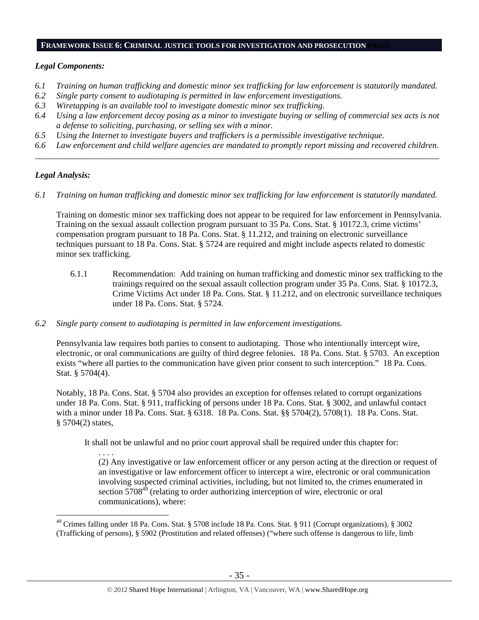#### **FRAMEWORK ISSUE 6: CRIMINAL JUSTICE TOOLS FOR INVESTIGATION AND PROSECUTION**

#### *Legal Components:*

- *6.1 Training on human trafficking and domestic minor sex trafficking for law enforcement is statutorily mandated.*
- *6.2 Single party consent to audiotaping is permitted in law enforcement investigations.*
- *6.3 Wiretapping is an available tool to investigate domestic minor sex trafficking.*
- *6.4 Using a law enforcement decoy posing as a minor to investigate buying or selling of commercial sex acts is not a defense to soliciting, purchasing, or selling sex with a minor.*
- *6.5 Using the Internet to investigate buyers and traffickers is a permissible investigative technique.*
- *6.6 Law enforcement and child welfare agencies are mandated to promptly report missing and recovered children. \_\_\_\_\_\_\_\_\_\_\_\_\_\_\_\_\_\_\_\_\_\_\_\_\_\_\_\_\_\_\_\_\_\_\_\_\_\_\_\_\_\_\_\_\_\_\_\_\_\_\_\_\_\_\_\_\_\_\_\_\_\_\_\_\_\_\_\_\_\_\_\_\_\_\_\_\_\_\_\_\_\_\_\_\_\_\_\_\_\_\_\_\_\_*

## *Legal Analysis:*

 $\overline{a}$ 

*6.1 Training on human trafficking and domestic minor sex trafficking for law enforcement is statutorily mandated.*

Training on domestic minor sex trafficking does not appear to be required for law enforcement in Pennsylvania. Training on the sexual assault collection program pursuant to 35 Pa. Cons. Stat. § 10172.3, crime victims' compensation program pursuant to 18 Pa. Cons. Stat. § 11.212, and training on electronic surveillance techniques pursuant to 18 Pa. Cons. Stat. § 5724 are required and might include aspects related to domestic minor sex trafficking.

- 6.1.1 Recommendation: Add training on human trafficking and domestic minor sex trafficking to the trainings required on the sexual assault collection program under 35 Pa. Cons. Stat. § 10172.3, Crime Victims Act under 18 Pa. Cons. Stat. § 11.212, and on electronic surveillance techniques under 18 Pa. Cons. Stat. § 5724.
- *6.2 Single party consent to audiotaping is permitted in law enforcement investigations.*

Pennsylvania law requires both parties to consent to audiotaping. Those who intentionally intercept wire, electronic, or oral communications are guilty of third degree felonies. 18 Pa. Cons. Stat. § 5703. An exception exists "where all parties to the communication have given prior consent to such interception." 18 Pa. Cons. Stat. § 5704(4).

Notably, 18 Pa. Cons. Stat. § 5704 also provides an exception for offenses related to corrupt organizations under 18 Pa. Cons. Stat. § 911, trafficking of persons under 18 Pa. Cons. Stat. § 3002, and unlawful contact with a minor under 18 Pa. Cons. Stat. § 6318. 18 Pa. Cons. Stat. §§ 5704(2), 5708(1). 18 Pa. Cons. Stat. § 5704(2) states,

It shall not be unlawful and no prior court approval shall be required under this chapter for:

. . . . (2) Any investigative or law enforcement officer or any person acting at the direction or request of an investigative or law enforcement officer to intercept a wire, electronic or oral communication involving suspected criminal activities, including, but not limited to, the crimes enumerated in section  $5708^{49}$  (relating to order authorizing interception of wire, electronic or oral communications), where:

 $49$  Crimes falling under 18 Pa. Cons. Stat. § 5708 include 18 Pa. Cons. Stat. § 911 (Corrupt organizations), § 3002 (Trafficking of persons), § 5902 (Prostitution and related offenses) ("where such offense is dangerous to life, limb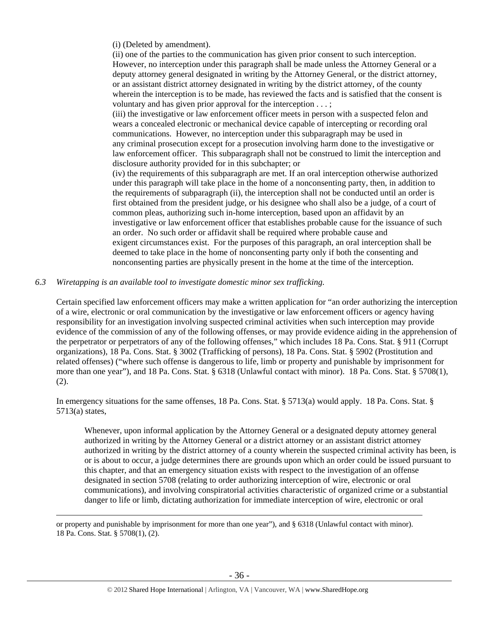(i) (Deleted by amendment).

(ii) one of the parties to the communication has given prior consent to such interception. However, no interception under this paragraph shall be made unless the Attorney General or a deputy attorney general designated in writing by the Attorney General, or the district attorney, or an assistant district attorney designated in writing by the district attorney, of the county wherein the interception is to be made, has reviewed the facts and is satisfied that the consent is voluntary and has given prior approval for the interception . . . ;

(iii) the investigative or law enforcement officer meets in person with a suspected felon and wears a concealed electronic or mechanical device capable of intercepting or recording oral communications. However, no interception under this subparagraph may be used in any criminal prosecution except for a prosecution involving harm done to the investigative or law enforcement officer. This subparagraph shall not be construed to limit the interception and disclosure authority provided for in this subchapter; or

(iv) the requirements of this subparagraph are met. If an oral interception otherwise authorized under this paragraph will take place in the home of a nonconsenting party, then, in addition to the requirements of subparagraph (ii), the interception shall not be conducted until an order is first obtained from the president judge, or his designee who shall also be a judge, of a court of common pleas, authorizing such in-home interception, based upon an affidavit by an investigative or law enforcement officer that establishes probable cause for the issuance of such an order. No such order or affidavit shall be required where probable cause and exigent circumstances exist. For the purposes of this paragraph, an oral interception shall be deemed to take place in the home of nonconsenting party only if both the consenting and nonconsenting parties are physically present in the home at the time of the interception.

#### *6.3 Wiretapping is an available tool to investigate domestic minor sex trafficking.*

Certain specified law enforcement officers may make a written application for "an order authorizing the interception of a wire, electronic or oral communication by the investigative or law enforcement officers or agency having responsibility for an investigation involving suspected criminal activities when such interception may provide evidence of the commission of any of the following offenses, or may provide evidence aiding in the apprehension of the perpetrator or perpetrators of any of the following offenses," which includes 18 Pa. Cons. Stat. § 911 (Corrupt organizations), 18 Pa. Cons. Stat. § 3002 (Trafficking of persons), 18 Pa. Cons. Stat. § 5902 (Prostitution and related offenses) ("where such offense is dangerous to life, limb or property and punishable by imprisonment for more than one year"), and 18 Pa. Cons. Stat. § 6318 (Unlawful contact with minor). 18 Pa. Cons. Stat. § 5708(1), (2).

In emergency situations for the same offenses, 18 Pa. Cons. Stat. § 5713(a) would apply. 18 Pa. Cons. Stat. § 5713(a) states,

Whenever, upon informal application by the Attorney General or a designated deputy attorney general authorized in writing by the Attorney General or a district attorney or an assistant district attorney authorized in writing by the district attorney of a county wherein the suspected criminal activity has been, is or is about to occur, a judge determines there are grounds upon which an order could be issued pursuant to this chapter, and that an emergency situation exists with respect to the investigation of an offense designated in section 5708 (relating to order authorizing interception of wire, electronic or oral communications), and involving conspiratorial activities characteristic of organized crime or a substantial danger to life or limb, dictating authorization for immediate interception of wire, electronic or oral

 or property and punishable by imprisonment for more than one year"), and § 6318 (Unlawful contact with minor). 18 Pa. Cons. Stat. § 5708(1), (2).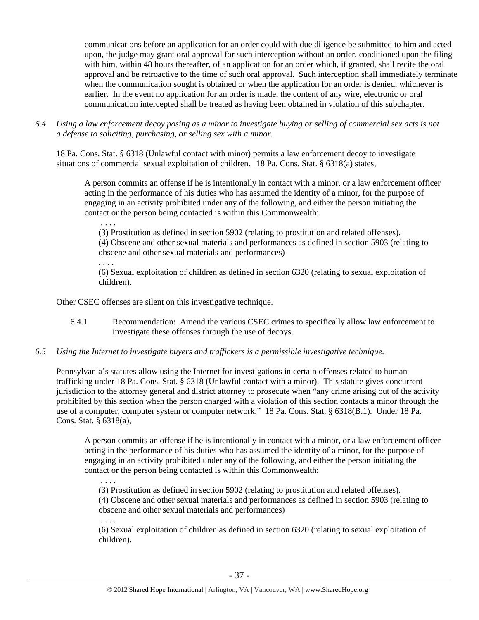communications before an application for an order could with due diligence be submitted to him and acted upon, the judge may grant oral approval for such interception without an order, conditioned upon the filing with him, within 48 hours thereafter, of an application for an order which, if granted, shall recite the oral approval and be retroactive to the time of such oral approval. Such interception shall immediately terminate when the communication sought is obtained or when the application for an order is denied, whichever is earlier. In the event no application for an order is made, the content of any wire, electronic or oral communication intercepted shall be treated as having been obtained in violation of this subchapter.

*6.4 Using a law enforcement decoy posing as a minor to investigate buying or selling of commercial sex acts is not a defense to soliciting, purchasing, or selling sex with a minor.* 

18 Pa. Cons. Stat. § 6318 (Unlawful contact with minor) permits a law enforcement decoy to investigate situations of commercial sexual exploitation of children. 18 Pa. Cons. Stat. § 6318(a) states,

A person commits an offense if he is intentionally in contact with a minor, or a law enforcement officer acting in the performance of his duties who has assumed the identity of a minor, for the purpose of engaging in an activity prohibited under any of the following, and either the person initiating the contact or the person being contacted is within this Commonwealth:

 . . . . (3) Prostitution as defined in section 5902 (relating to prostitution and related offenses). (4) Obscene and other sexual materials and performances as defined in section 5903 (relating to obscene and other sexual materials and performances)

. . . .

(6) Sexual exploitation of children as defined in section 6320 (relating to sexual exploitation of children).

Other CSEC offenses are silent on this investigative technique.

- 6.4.1 Recommendation: Amend the various CSEC crimes to specifically allow law enforcement to investigate these offenses through the use of decoys.
- *6.5 Using the Internet to investigate buyers and traffickers is a permissible investigative technique.*

Pennsylvania's statutes allow using the Internet for investigations in certain offenses related to human trafficking under 18 Pa. Cons. Stat. § 6318 (Unlawful contact with a minor). This statute gives concurrent jurisdiction to the attorney general and district attorney to prosecute when "any crime arising out of the activity prohibited by this section when the person charged with a violation of this section contacts a minor through the use of a computer, computer system or computer network." 18 Pa. Cons. Stat. § 6318(B.1). Under 18 Pa. Cons. Stat. § 6318(a),

A person commits an offense if he is intentionally in contact with a minor, or a law enforcement officer acting in the performance of his duties who has assumed the identity of a minor, for the purpose of engaging in an activity prohibited under any of the following, and either the person initiating the contact or the person being contacted is within this Commonwealth:

. . . .

(3) Prostitution as defined in section 5902 (relating to prostitution and related offenses).

(4) Obscene and other sexual materials and performances as defined in section 5903 (relating to obscene and other sexual materials and performances)

. . . .

(6) Sexual exploitation of children as defined in section 6320 (relating to sexual exploitation of children).